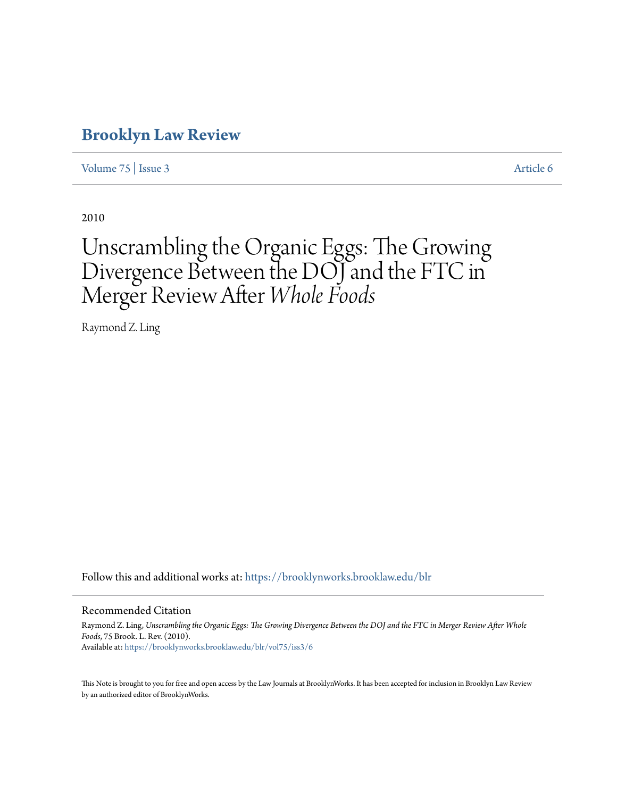# **[Brooklyn Law Review](https://brooklynworks.brooklaw.edu/blr?utm_source=brooklynworks.brooklaw.edu%2Fblr%2Fvol75%2Fiss3%2F6&utm_medium=PDF&utm_campaign=PDFCoverPages)**

[Volume 75](https://brooklynworks.brooklaw.edu/blr/vol75?utm_source=brooklynworks.brooklaw.edu%2Fblr%2Fvol75%2Fiss3%2F6&utm_medium=PDF&utm_campaign=PDFCoverPages) | [Issue 3](https://brooklynworks.brooklaw.edu/blr/vol75/iss3?utm_source=brooklynworks.brooklaw.edu%2Fblr%2Fvol75%2Fiss3%2F6&utm_medium=PDF&utm_campaign=PDFCoverPages) [Article 6](https://brooklynworks.brooklaw.edu/blr/vol75/iss3/6?utm_source=brooklynworks.brooklaw.edu%2Fblr%2Fvol75%2Fiss3%2F6&utm_medium=PDF&utm_campaign=PDFCoverPages)

2010

# Unscrambling the Organic Eggs: The Growing Divergence Between the DOJ and the FTC in Merger Review After *Whole Foods*

Raymond Z. Ling

Follow this and additional works at: [https://brooklynworks.brooklaw.edu/blr](https://brooklynworks.brooklaw.edu/blr?utm_source=brooklynworks.brooklaw.edu%2Fblr%2Fvol75%2Fiss3%2F6&utm_medium=PDF&utm_campaign=PDFCoverPages)

#### Recommended Citation

Raymond Z. Ling, *Unscrambling the Organic Eggs: The Growing Divergence Between the DOJ and the FTC in Merger Review After Whole Foods*, 75 Brook. L. Rev. (2010). Available at: [https://brooklynworks.brooklaw.edu/blr/vol75/iss3/6](https://brooklynworks.brooklaw.edu/blr/vol75/iss3/6?utm_source=brooklynworks.brooklaw.edu%2Fblr%2Fvol75%2Fiss3%2F6&utm_medium=PDF&utm_campaign=PDFCoverPages)

This Note is brought to you for free and open access by the Law Journals at BrooklynWorks. It has been accepted for inclusion in Brooklyn Law Review by an authorized editor of BrooklynWorks.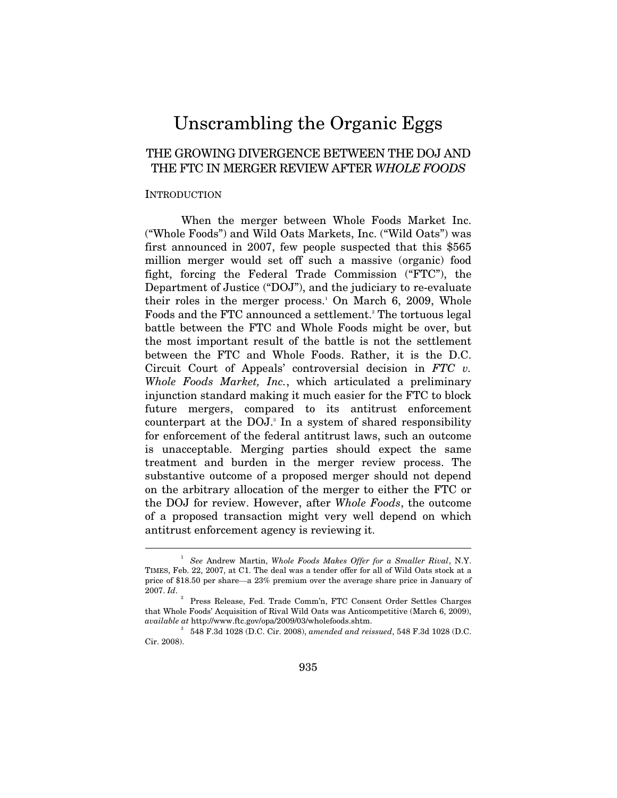# Unscrambling the Organic Eggs

# THE GROWING DIVERGENCE BETWEEN THE DOJ AND THE FTC IN MERGER REVIEW AFTER *WHOLE FOODS*

#### **INTRODUCTION**

 $\overline{a}$ 

When the merger between Whole Foods Market Inc. ("Whole Foods") and Wild Oats Markets, Inc. ("Wild Oats") was first announced in 2007, few people suspected that this \$565 million merger would set off such a massive (organic) food fight, forcing the Federal Trade Commission ("FTC"), the Department of Justice ("DOJ"), and the judiciary to re-evaluate their roles in the merger process.<sup>1</sup> On March 6, 2009, Whole Foods and the FTC announced a settlement.<sup>2</sup> The tortuous legal battle between the FTC and Whole Foods might be over, but the most important result of the battle is not the settlement between the FTC and Whole Foods. Rather, it is the D.C. Circuit Court of Appeals' controversial decision in *FTC v. Whole Foods Market, Inc.*, which articulated a preliminary injunction standard making it much easier for the FTC to block future mergers, compared to its antitrust enforcement counterpart at the DOJ.<sup>3</sup> In a system of shared responsibility for enforcement of the federal antitrust laws, such an outcome is unacceptable. Merging parties should expect the same treatment and burden in the merger review process. The substantive outcome of a proposed merger should not depend on the arbitrary allocation of the merger to either the FTC or the DOJ for review. However, after *Whole Foods*, the outcome of a proposed transaction might very well depend on which antitrust enforcement agency is reviewing it.

<sup>&</sup>lt;sup>1</sup> See Andrew Martin, *Whole Foods Makes Offer for a Smaller Rival*, N.Y. TIMES, Feb. 22, 2007, at C1. The deal was a tender offer for all of Wild Oats stock at a price of \$18.50 per share—a 23% premium over the average share price in January of 2007. *Id*.

<sup>2</sup> Press Release, Fed. Trade Comm'n, FTC Consent Order Settles Charges that Whole Foods' Acquisition of Rival Wild Oats was Anticompetitive (March 6, 2009), *available at* http://www.ftc.gov/opa/2009/03/wholefoods.shtm. 3

 <sup>548</sup> F.3d 1028 (D.C. Cir. 2008), *amended and reissued*, 548 F.3d 1028 (D.C. Cir. 2008).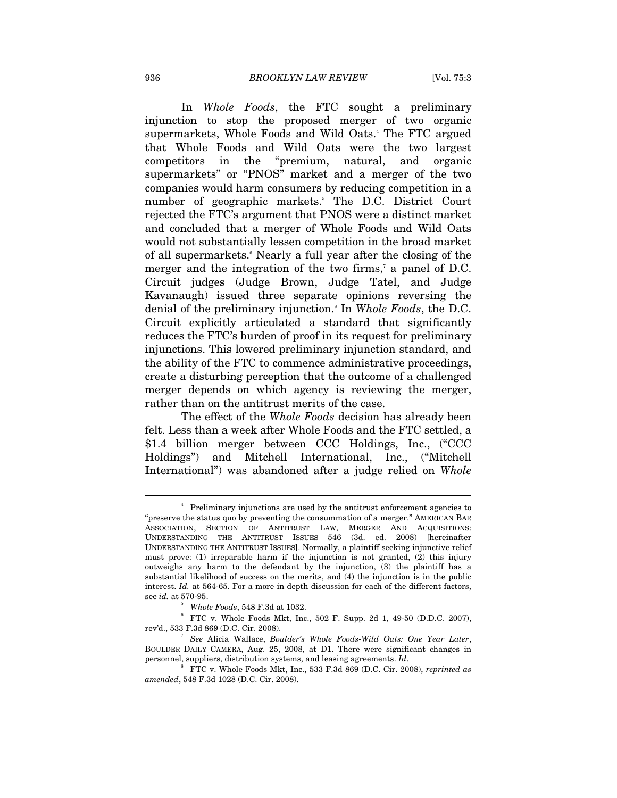In *Whole Foods*, the FTC sought a preliminary injunction to stop the proposed merger of two organic supermarkets, Whole Foods and Wild Oats.<sup>4</sup> The FTC argued that Whole Foods and Wild Oats were the two largest competitors in the "premium, natural, and organic supermarkets" or "PNOS" market and a merger of the two companies would harm consumers by reducing competition in a number of geographic markets.<sup>5</sup> The D.C. District Court rejected the FTC's argument that PNOS were a distinct market and concluded that a merger of Whole Foods and Wild Oats would not substantially lessen competition in the broad market of all supermarkets.<sup>6</sup> Nearly a full year after the closing of the merger and the integration of the two firms,<sup>7</sup> a panel of D.C. Circuit judges (Judge Brown, Judge Tatel, and Judge Kavanaugh) issued three separate opinions reversing the denial of the preliminary injunction.8 In *Whole Foods*, the D.C. Circuit explicitly articulated a standard that significantly reduces the FTC's burden of proof in its request for preliminary injunctions. This lowered preliminary injunction standard, and the ability of the FTC to commence administrative proceedings, create a disturbing perception that the outcome of a challenged merger depends on which agency is reviewing the merger, rather than on the antitrust merits of the case.

The effect of the *Whole Foods* decision has already been felt. Less than a week after Whole Foods and the FTC settled, a \$1.4 billion merger between CCC Holdings, Inc., ("CCC Holdings") and Mitchell International, Inc., ("Mitchell International") was abandoned after a judge relied on *Whole* 

<sup>&</sup>lt;sup>4</sup> Preliminary injunctions are used by the antitrust enforcement agencies to "preserve the status quo by preventing the consummation of a merger." AMERICAN BAR ASSOCIATION, SECTION OF ANTITRUST LAW, MERGER AND ACQUISITIONS: UNDERSTANDING THE ANTITRUST ISSUES 546 (3d. ed. 2008) [hereinafter UNDERSTANDING THE ANTITRUST ISSUES]. Normally, a plaintiff seeking injunctive relief must prove: (1) irreparable harm if the injunction is not granted, (2) this injury outweighs any harm to the defendant by the injunction, (3) the plaintiff has a substantial likelihood of success on the merits, and (4) the injunction is in the public interest. *Id.* at 564-65. For a more in depth discussion for each of the different factors, see *id.* at 570-95.

<sup>&</sup>lt;sup>5</sup> *Whole Foods*, 548 F.3d at 1032.

FTC v. Whole Foods Mkt, Inc., 502 F. Supp. 2d 1, 49-50 (D.D.C. 2007), rev'd., 533 F.3d 869 (D.C. Cir. 2008). 7

*See* Alicia Wallace, *Boulder's Whole Foods-Wild Oats: One Year Later*, BOULDER DAILY CAMERA, Aug. 25, 2008, at D1. There were significant changes in personnel, suppliers, distribution systems, and leasing agreements. *Id*. 8

FTC v. Whole Foods Mkt, Inc., 533 F.3d 869 (D.C. Cir. 2008), *reprinted as amended*, 548 F.3d 1028 (D.C. Cir. 2008).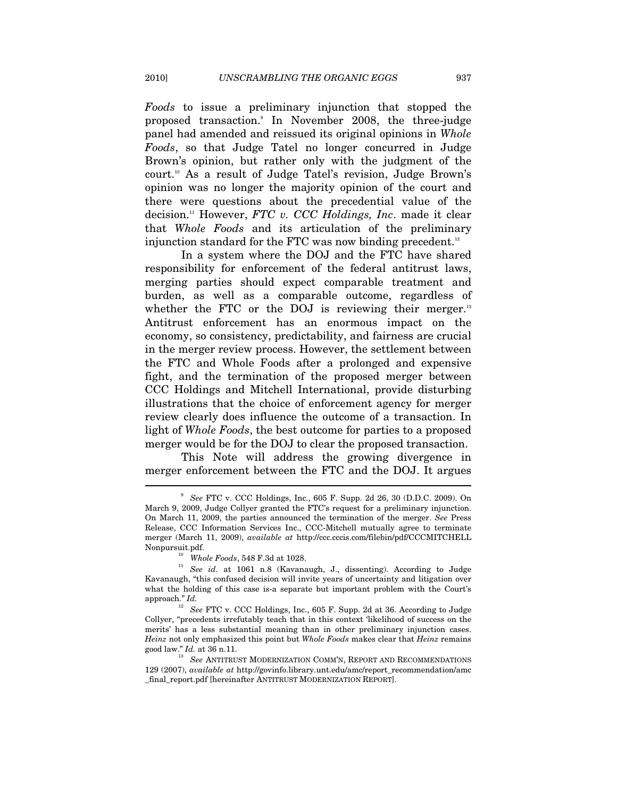*Foods* to issue a preliminary injunction that stopped the proposed transaction.9 In November 2008, the three-judge panel had amended and reissued its original opinions in *Whole Foods*, so that Judge Tatel no longer concurred in Judge Brown's opinion, but rather only with the judgment of the court.10 As a result of Judge Tatel's revision, Judge Brown's opinion was no longer the majority opinion of the court and there were questions about the precedential value of the decision.11 However, *FTC v. CCC Holdings, Inc*. made it clear that *Whole Foods* and its articulation of the preliminary injunction standard for the FTC was now binding precedent.<sup>12</sup>

In a system where the DOJ and the FTC have shared responsibility for enforcement of the federal antitrust laws, merging parties should expect comparable treatment and burden, as well as a comparable outcome, regardless of whether the FTC or the DOJ is reviewing their merger. $13$ Antitrust enforcement has an enormous impact on the economy, so consistency, predictability, and fairness are crucial in the merger review process. However, the settlement between the FTC and Whole Foods after a prolonged and expensive fight, and the termination of the proposed merger between CCC Holdings and Mitchell International, provide disturbing illustrations that the choice of enforcement agency for merger review clearly does influence the outcome of a transaction. In light of *Whole Foods*, the best outcome for parties to a proposed merger would be for the DOJ to clear the proposed transaction.

This Note will address the growing divergence in merger enforcement between the FTC and the DOJ. It argues

<sup>9</sup> *See* FTC v. CCC Holdings, Inc., 605 F. Supp. 2d 26, 30 (D.D.C. 2009). On March 9, 2009, Judge Collyer granted the FTC's request for a preliminary injunction. On March 11, 2009, the parties announced the termination of the merger. *See* Press Release, CCC Information Services Inc., CCC-Mitchell mutually agree to terminate merger (March 11, 2009), *available at* http://ccc.cccis.com/filebin/pdf/CCCMITCHELL

Nonpursuit.pdf. 10 *Whole Foods*, 548 F.3d at 1028. 11 *See id.* at 1061 n.8 (Kavanaugh, J., dissenting). According to Judge Kavanaugh, "this confused decision will invite years of uncertainty and litigation over what the holding of this case is-a separate but important problem with the Court's approach." *Id.* 

<sup>12</sup> *See* FTC v. CCC Holdings, Inc., 605 F. Supp. 2d at 36. According to Judge Collyer, "precedents irrefutably teach that in this context 'likelihood of success on the merits' has a less substantial meaning than in other preliminary injunction cases. *Heinz* not only emphasized this point but *Whole Foods* makes clear that *Heinz* remains good law."  $\mathit{Id.}$  at 36 n.11.  $^{13}$   $\mathit{See}$  ANTITRUST MODERNIZATION COMM'N, REPORT AND RECOMMENDATIONS

<sup>129 (2007),</sup> *available at* http://govinfo.library.unt.edu/amc/report\_recommendation/amc \_final\_report.pdf [hereinafter ANTITRUST MODERNIZATION REPORT].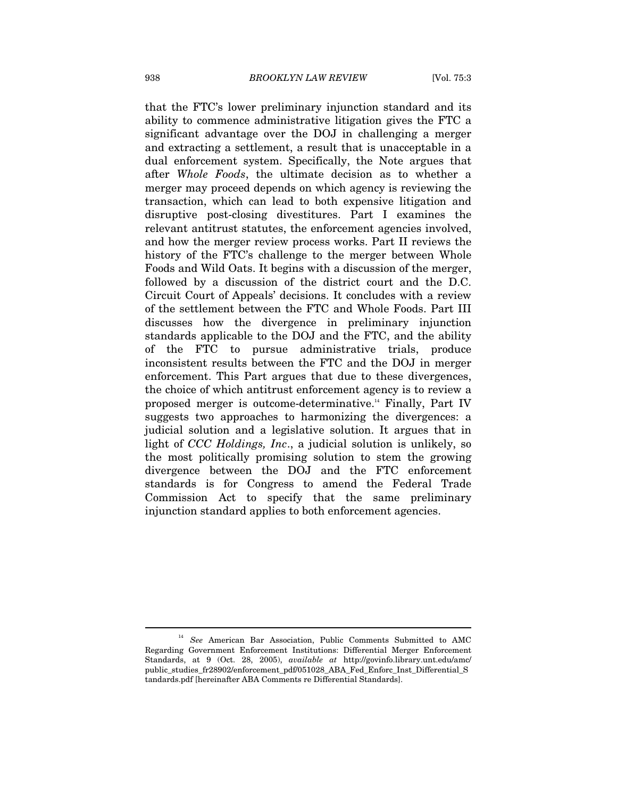that the FTC's lower preliminary injunction standard and its ability to commence administrative litigation gives the FTC a significant advantage over the DOJ in challenging a merger and extracting a settlement, a result that is unacceptable in a dual enforcement system. Specifically, the Note argues that after *Whole Foods*, the ultimate decision as to whether a merger may proceed depends on which agency is reviewing the transaction, which can lead to both expensive litigation and disruptive post-closing divestitures. Part I examines the relevant antitrust statutes, the enforcement agencies involved, and how the merger review process works. Part II reviews the history of the FTC's challenge to the merger between Whole Foods and Wild Oats. It begins with a discussion of the merger, followed by a discussion of the district court and the D.C. Circuit Court of Appeals' decisions. It concludes with a review of the settlement between the FTC and Whole Foods. Part III discusses how the divergence in preliminary injunction standards applicable to the DOJ and the FTC, and the ability of the FTC to pursue administrative trials, produce inconsistent results between the FTC and the DOJ in merger enforcement. This Part argues that due to these divergences, the choice of which antitrust enforcement agency is to review a proposed merger is outcome-determinative.14 Finally, Part IV suggests two approaches to harmonizing the divergences: a judicial solution and a legislative solution. It argues that in light of *CCC Holdings, Inc*., a judicial solution is unlikely, so the most politically promising solution to stem the growing divergence between the DOJ and the FTC enforcement standards is for Congress to amend the Federal Trade Commission Act to specify that the same preliminary injunction standard applies to both enforcement agencies.

<sup>14</sup> *See* American Bar Association, Public Comments Submitted to AMC Regarding Government Enforcement Institutions: Differential Merger Enforcement Standards, at 9 (Oct. 28, 2005), *available at* http://govinfo.library.unt.edu/amc/ public\_studies\_fr28902/enforcement\_pdf/051028\_ABA\_Fed\_Enforc\_Inst\_Differential\_S tandards.pdf [hereinafter ABA Comments re Differential Standards].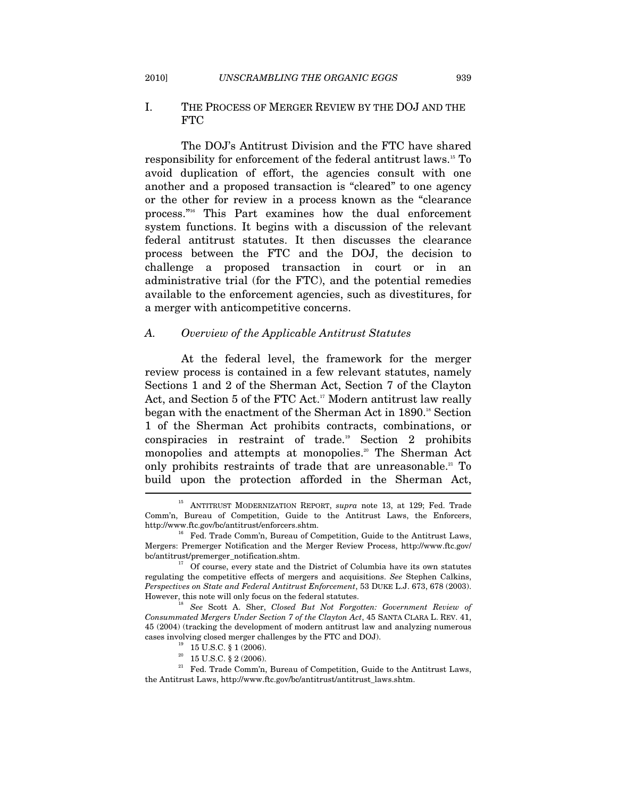#### I. THE PROCESS OF MERGER REVIEW BY THE DOJ AND THE FTC

The DOJ's Antitrust Division and the FTC have shared responsibility for enforcement of the federal antitrust laws.15 To avoid duplication of effort, the agencies consult with one another and a proposed transaction is "cleared" to one agency or the other for review in a process known as the "clearance process."<sup>16</sup> This Part examines how the dual enforcement system functions. It begins with a discussion of the relevant federal antitrust statutes. It then discusses the clearance process between the FTC and the DOJ, the decision to challenge a proposed transaction in court or in an administrative trial (for the FTC), and the potential remedies available to the enforcement agencies, such as divestitures, for a merger with anticompetitive concerns.

#### *A. Overview of the Applicable Antitrust Statutes*

At the federal level, the framework for the merger review process is contained in a few relevant statutes, namely Sections 1 and 2 of the Sherman Act, Section 7 of the Clayton Act, and Section 5 of the FTC Act.<sup>17</sup> Modern antitrust law really began with the enactment of the Sherman Act in 1890.<sup>18</sup> Section 1 of the Sherman Act prohibits contracts, combinations, or conspiracies in restraint of trade.19 Section 2 prohibits monopolies and attempts at monopolies.<sup>20</sup> The Sherman Act only prohibits restraints of trade that are unreasonable.<sup>21</sup> To build upon the protection afforded in the Sherman Act,

- 
- $20\quad 15$  U.S.C. § 2 (2006).

<sup>15</sup> ANTITRUST MODERNIZATION REPORT, *supra* note 13, at 129; Fed. Trade Comm'n, Bureau of Competition, Guide to the Antitrust Laws, the Enforcers, http://www.ftc.gov/bc/antitrust/enforcers.shtm.<br><sup>16</sup> Fed. Trade Comm'n, Bureau of Competition, Guide to the Antitrust Laws,

Mergers: Premerger Notification and the Merger Review Process, http://www.ftc.gov/ bc/antitrust/premerger\_notification.shtm. 17 Of course, every state and the District of Columbia have its own statutes

regulating the competitive effects of mergers and acquisitions. *See* Stephen Calkins, *Perspectives on State and Federal Antitrust Enforcement*, 53 DUKE L.J. 673, 678 (2003). However, this note will only focus on the federal statutes.<br><sup>18</sup> See Scott A. Sher, *Closed But Not Forgotten: Government Review of* 

*Consummated Mergers Under Section 7 of the Clayton Act*, 45 SANTA CLARA L. REV. 41, 45 (2004) (tracking the development of modern antitrust law and analyzing numerous cases involving closed merger challenges by the FTC and DOJ).  $^{19}$  –15 U.S.C. § 1 (2006).

 $^\mathrm{21}$  Fed. Trade Comm'n, Bureau of Competition, Guide to the Antitrust Laws, the Antitrust Laws, http://www.ftc.gov/bc/antitrust/antitrust\_laws.shtm.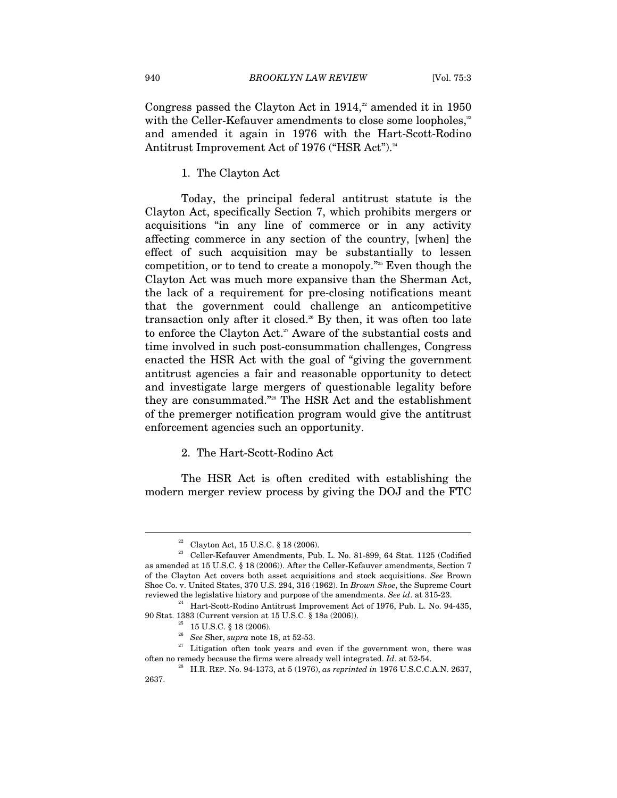Congress passed the Clayton Act in  $1914$ ,<sup>22</sup> amended it in 1950 with the Celler-Kefauver amendments to close some loopholes,<sup>23</sup> and amended it again in 1976 with the Hart-Scott-Rodino Antitrust Improvement Act of 1976 ("HSR Act").<sup>24</sup>

1. The Clayton Act

Today, the principal federal antitrust statute is the Clayton Act, specifically Section 7, which prohibits mergers or acquisitions "in any line of commerce or in any activity affecting commerce in any section of the country, [when] the effect of such acquisition may be substantially to lessen competition, or to tend to create a monopoly."25 Even though the Clayton Act was much more expansive than the Sherman Act, the lack of a requirement for pre-closing notifications meant that the government could challenge an anticompetitive transaction only after it closed.<sup>26</sup> By then, it was often too late to enforce the Clayton Act.<sup>27</sup> Aware of the substantial costs and time involved in such post-consummation challenges, Congress enacted the HSR Act with the goal of "giving the government antitrust agencies a fair and reasonable opportunity to detect and investigate large mergers of questionable legality before they are consummated."28 The HSR Act and the establishment of the premerger notification program would give the antitrust enforcement agencies such an opportunity.

#### 2. The Hart-Scott-Rodino Act

The HSR Act is often credited with establishing the modern merger review process by giving the DOJ and the FTC

<sup>22</sup> Clayton Act, 15 U.S.C. § 18 (2006).

 $^{23}$  Celler-Kefauver Amendments, Pub. L. No. 81-899, 64 Stat. 1125 (Codified as amended at 15 U.S.C. § 18 (2006)). After the Celler-Kefauver amendments, Section 7 of the Clayton Act covers both asset acquisitions and stock acquisitions. *See* Brown Shoe Co. v. United States, 370 U.S. 294, 316 (1962). In *Brown Shoe*, the Supreme Court reviewed the legislative history and purpose of the amendments. *See id*. at 315-23. 24 Hart-Scott-Rodino Antitrust Improvement Act of 1976, Pub. L. No. 94-435,

<sup>90</sup> Stat. 1383 (Current version at 15 U.S.C. § 18a (2006)).<br><sup>25</sup> 15 U.S.C. § 18 (2006).<br><sup>26</sup> *See* Sher, *supra* note 18, at 52-53.

<sup>&</sup>lt;sup>27</sup> Litigation often took years and even if the government won, there was

often no remedy because the firms were already well integrated. *Id*. at 52-54. 28 H.R. REP. No. 94-1373, at 5 (1976), *as reprinted in* 1976 U.S.C.C.A.N. 2637, 2637.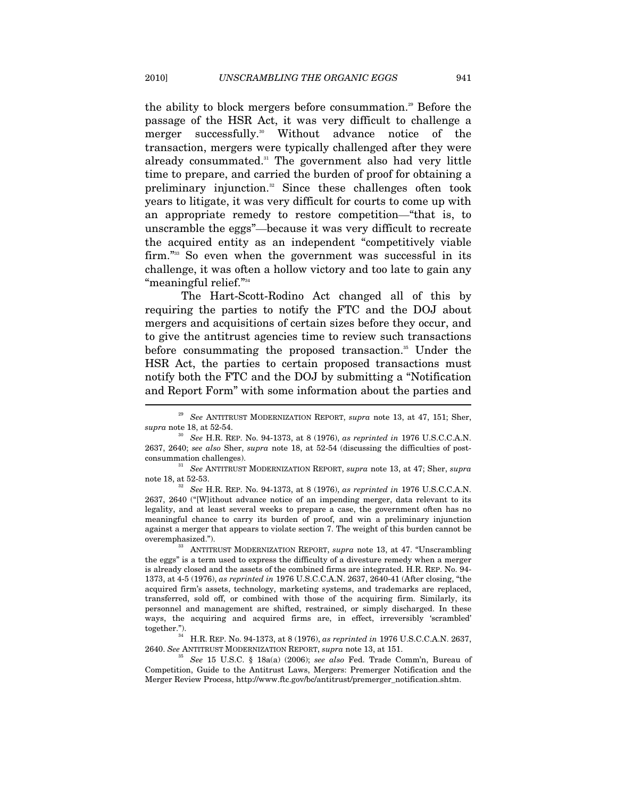the ability to block mergers before consummation.<sup>29</sup> Before the passage of the HSR Act, it was very difficult to challenge a merger successfully.<sup>30</sup> Without advance notice of the transaction, mergers were typically challenged after they were already consummated.<sup>31</sup> The government also had very little time to prepare, and carried the burden of proof for obtaining a preliminary injunction.<sup>32</sup> Since these challenges often took years to litigate, it was very difficult for courts to come up with an appropriate remedy to restore competition—"that is, to unscramble the eggs"—because it was very difficult to recreate the acquired entity as an independent "competitively viable firm."33 So even when the government was successful in its challenge, it was often a hollow victory and too late to gain any "meaningful relief."34

The Hart-Scott-Rodino Act changed all of this by requiring the parties to notify the FTC and the DOJ about mergers and acquisitions of certain sizes before they occur, and to give the antitrust agencies time to review such transactions before consummating the proposed transaction.<sup>35</sup> Under the HSR Act, the parties to certain proposed transactions must notify both the FTC and the DOJ by submitting a "Notification and Report Form" with some information about the parties and  $\overline{a}$ 

note 18, at 52-53. 32 *See* H.R. REP. No. 94-1373, at 8 (1976), *as reprinted in* 1976 U.S.C.C.A.N.

2637, 2640 ("[W]ithout advance notice of an impending merger, data relevant to its legality, and at least several weeks to prepare a case, the government often has no meaningful chance to carry its burden of proof, and win a preliminary injunction against a merger that appears to violate section 7. The weight of this burden cannot be

overemphasized."). 33 ANTITRUST MODERNIZATION REPORT, *supra* note 13, at 47. "Unscrambling the eggs" is a term used to express the difficulty of a divesture remedy when a merger is already closed and the assets of the combined firms are integrated. H.R. REP. No. 94- 1373, at 4-5 (1976), *as reprinted in* 1976 U.S.C.C.A.N. 2637, 2640-41 (After closing, "the acquired firm's assets, technology, marketing systems, and trademarks are replaced, transferred, sold off, or combined with those of the acquiring firm. Similarly, its personnel and management are shifted, restrained, or simply discharged. In these ways, the acquiring and acquired firms are, in effect, irreversibly 'scrambled' together."). 34 H.R. REP. No. 94-1373, at 8 (1976), *as reprinted in* 1976 U.S.C.C.A.N. 2637,

2640. *See* ANTITRUST MODERNIZATION REPORT, *supra* note 13, at 151. 35 *See* 15 U.S.C. § 18a(a) (2006); *see also* Fed. Trade Comm'n, Bureau of Competition, Guide to the Antitrust Laws, Mergers: Premerger Notification and the Merger Review Process, http://www.ftc.gov/bc/antitrust/premerger\_notification.shtm.

<sup>29</sup> *See* ANTITRUST MODERNIZATION REPORT, *supra* note 13, at 47, 151; Sher, *supra* note 18, at 52-54. 30 *See* H.R. REP. No. 94-1373, at 8 (1976), *as reprinted in* 1976 U.S.C.C.A.N.

<sup>2637, 2640;</sup> *see also* Sher, *supra* note 18, at 52-54 (discussing the difficulties of postconsummation challenges). 31 *See* ANTITRUST MODERNIZATION REPORT, *supra* note 13, at 47; Sher, *supra*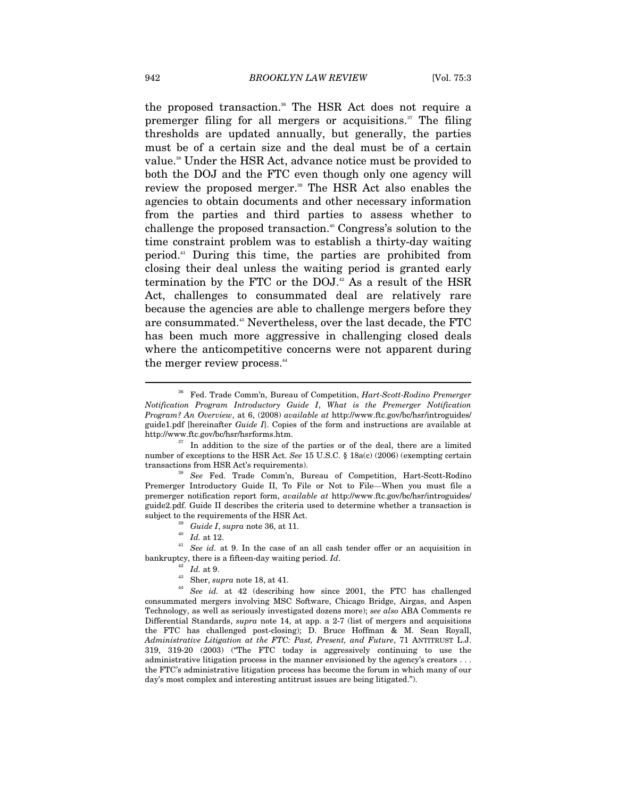the proposed transaction.<sup>36</sup> The HSR Act does not require a premerger filing for all mergers or acquisitions.<sup>37</sup> The filing thresholds are updated annually, but generally, the parties must be of a certain size and the deal must be of a certain value.<sup>38</sup> Under the HSR Act, advance notice must be provided to both the DOJ and the FTC even though only one agency will review the proposed merger.<sup>39</sup> The HSR Act also enables the agencies to obtain documents and other necessary information from the parties and third parties to assess whether to challenge the proposed transaction.<sup>40</sup> Congress's solution to the time constraint problem was to establish a thirty-day waiting period.41 During this time, the parties are prohibited from closing their deal unless the waiting period is granted early termination by the FTC or the  $DOL$ <sup>22</sup> As a result of the HSR Act, challenges to consummated deal are relatively rare because the agencies are able to challenge mergers before they are consummated.<sup>43</sup> Nevertheless, over the last decade, the FTC has been much more aggressive in challenging closed deals where the anticompetitive concerns were not apparent during the merger review process.<sup>44</sup>

- 
- 

- 
- 

bankruptcy, there is a fifteen-day waiting period. *Id.*  $^{42}$  *Id.* at 9.<br><sup>43</sup> Sher, *supra* note 18, at 41.<br><sup>44</sup> See id. at 42 (describing how since 2001, the FTC has challenged consummated mergers involving MSC Software, Chicago Bridge, Airgas, and Aspen Technology, as well as seriously investigated dozens more); *see also* ABA Comments re Differential Standards, *supra* note 14, at app. a 2-7 (list of mergers and acquisitions the FTC has challenged post-closing); D. Bruce Hoffman & M. Sean Royall, *Administrative Litigation at the FTC: Past, Present, and Future*, 71 ANTITRUST L.J. 319, 319-20 (2003) ("The FTC today is aggressively continuing to use the administrative litigation process in the manner envisioned by the agency's creators . . . the FTC's administrative litigation process has become the forum in which many of our day's most complex and interesting antitrust issues are being litigated.").

<sup>36</sup> Fed. Trade Comm'n, Bureau of Competition, *Hart-Scott-Rodino Premerger Notification Program Introductory Guide I*, *What is the Premerger Notification Program? An Overview*, at 6, (2008) *available at* http://www.ftc.gov/bc/hsr/introguides/ guide1.pdf [hereinafter *Guide I*]. Copies of the form and instructions are available at http://www.ftc.gov/bc/hsr/hsrforms.htm.<br><sup>37</sup> In addition to the size of the parties or of the deal, there are a limited

number of exceptions to the HSR Act. *See* 15 U.S.C. § 18a(c) (2006) (exempting certain transactions from HSR Act's requirements). 38 *See* Fed. Trade Comm'n, Bureau of Competition, Hart-Scott-Rodino

Premerger Introductory Guide II, To File or Not to File—When you must file a premerger notification report form, *available at* http://www.ftc.gov/bc/hsr/introguides/ guide2.pdf. Guide II describes the criteria used to determine whether a transaction is subject to the requirements of the HSR Act.<br><sup>39</sup> Guide I, *supra* note 36, at 11.<br><sup>40</sup> Id. at 12.<br><sup>41</sup> See id. at 9. In the case of an all cash tender offer or an acquisition in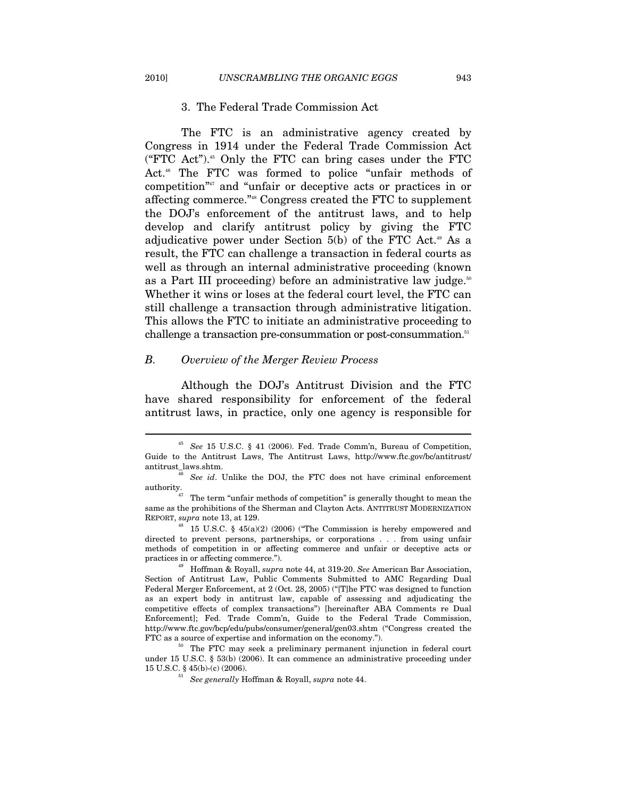#### 3. The Federal Trade Commission Act

The FTC is an administrative agency created by Congress in 1914 under the Federal Trade Commission Act ("FTC Act").<sup>45</sup> Only the FTC can bring cases under the FTC Act.<sup>46</sup> The FTC was formed to police "unfair methods of competition"47 and "unfair or deceptive acts or practices in or affecting commerce."48 Congress created the FTC to supplement the DOJ's enforcement of the antitrust laws, and to help develop and clarify antitrust policy by giving the FTC adjudicative power under Section  $5(b)$  of the FTC Act.<sup>49</sup> As a result, the FTC can challenge a transaction in federal courts as well as through an internal administrative proceeding (known as a Part III proceeding) before an administrative law judge.<sup>50</sup> Whether it wins or loses at the federal court level, the FTC can still challenge a transaction through administrative litigation. This allows the FTC to initiate an administrative proceeding to challenge a transaction pre-consummation or post-consummation.<sup>51</sup>

# *B. Overview of the Merger Review Process*

Although the DOJ's Antitrust Division and the FTC have shared responsibility for enforcement of the federal antitrust laws, in practice, only one agency is responsible for

<sup>45</sup> *See* 15 U.S.C. § 41 (2006). Fed. Trade Comm'n, Bureau of Competition, Guide to the Antitrust Laws, The Antitrust Laws, http://www.ftc.gov/bc/antitrust/ antitrust\_laws.shtm. 46 *See id*. Unlike the DOJ, the FTC does not have criminal enforcement

authority.<br> $47$  The term "unfair methods of competition" is generally thought to mean the

same as the prohibitions of the Sherman and Clayton Acts. ANTITRUST MODERNIZATION REPORT, *supra* note 13, at 129.<br><sup>48</sup> 15 U.S.C. § 45(a)(2) (2006) ("The Commission is hereby empowered and

directed to prevent persons, partnerships, or corporations . . . from using unfair methods of competition in or affecting commerce and unfair or deceptive acts or practices in or affecting commerce."). 49 Hoffman & Royall, *supra* note 44, at 319-20. *See* American Bar Association,

Section of Antitrust Law, Public Comments Submitted to AMC Regarding Dual Federal Merger Enforcement, at 2 (Oct. 28, 2005) ("[T]he FTC was designed to function as an expert body in antitrust law, capable of assessing and adjudicating the competitive effects of complex transactions") [hereinafter ABA Comments re Dual Enforcement]; Fed. Trade Comm'n, Guide to the Federal Trade Commission, http://www.ftc.gov/bcp/edu/pubs/consumer/general/gen03.shtm ("Congress created the FTC as a source of expertise and information on the economy.").<br><sup>50</sup> The FTC may seek a preliminary permanent injunction in federal court

under 15 U.S.C. § 53(b) (2006). It can commence an administrative proceeding under 15 U.S.C. § 45(b)-(c) (2006). 51 *See generally* Hoffman & Royall, *supra* note 44.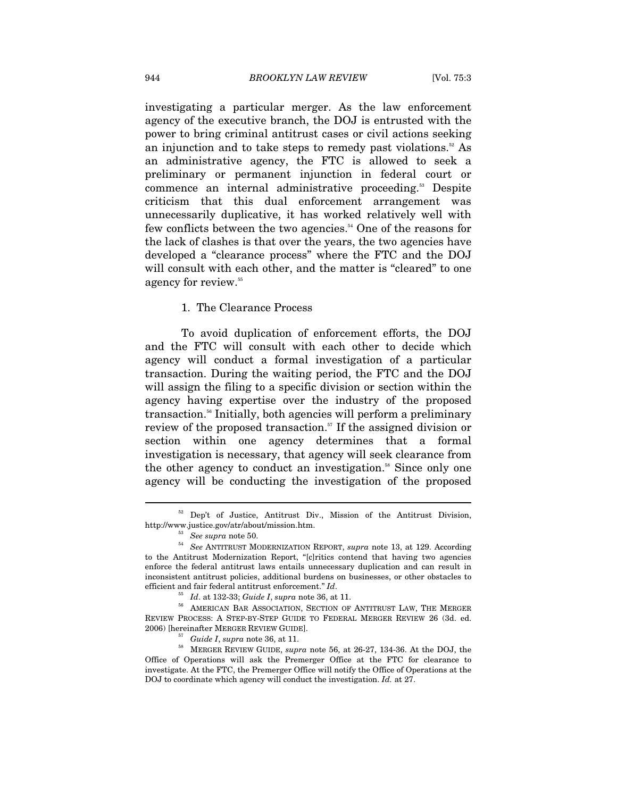investigating a particular merger. As the law enforcement agency of the executive branch, the DOJ is entrusted with the power to bring criminal antitrust cases or civil actions seeking an injunction and to take steps to remedy past violations.<sup>52</sup> As an administrative agency, the FTC is allowed to seek a preliminary or permanent injunction in federal court or commence an internal administrative proceeding.<sup>53</sup> Despite criticism that this dual enforcement arrangement was unnecessarily duplicative, it has worked relatively well with few conflicts between the two agencies.<sup>54</sup> One of the reasons for the lack of clashes is that over the years, the two agencies have developed a "clearance process" where the FTC and the DOJ will consult with each other, and the matter is "cleared" to one agency for review.<sup>55</sup>

# 1. The Clearance Process

To avoid duplication of enforcement efforts, the DOJ and the FTC will consult with each other to decide which agency will conduct a formal investigation of a particular transaction. During the waiting period, the FTC and the DOJ will assign the filing to a specific division or section within the agency having expertise over the industry of the proposed transaction.<sup>56</sup> Initially, both agencies will perform a preliminary review of the proposed transaction.<sup>57</sup> If the assigned division or section within one agency determines that a formal investigation is necessary, that agency will seek clearance from the other agency to conduct an investigation.<sup>58</sup> Since only one agency will be conducting the investigation of the proposed

 $52$  Dep't of Justice, Antitrust Div., Mission of the Antitrust Division, http://www.justice.gov/atr/about/mission.htm.

<sup>&</sup>lt;sup>53</sup> See supra note 50. **See Supra rote 50.** See ANTITRUST MODERNIZATION REPORT, *supra* note 13, at 129. According to the Antitrust Modernization Report, "[c]ritics contend that having two agencies enforce the federal antitrust laws entails unnecessary duplication and can result in inconsistent antitrust policies, additional burdens on businesses, or other obstacles to efficient and fair federal antitrust enforcement." *Id*.<br><sup>55</sup> *Id.* at 132-33; *Guide I*, *supra* note 36, at 11.<br><sup>56</sup> AMERICAN BAR ASSOCIATION, SECTION OF ANTITRUST LAW, THE MERGER

REVIEW PROCESS: A STEP-BY-STEP GUIDE TO FEDERAL MERGER REVIEW 26 (3d. ed. 2006) [hereinafter MERGER REVIEW GUIDE]. 57 *Guide I*, *supra* note 36, at 11. 58 MERGER REVIEW GUIDE, *supra* note 56, at 26-27, 134-36. At the DOJ, the

Office of Operations will ask the Premerger Office at the FTC for clearance to investigate. At the FTC, the Premerger Office will notify the Office of Operations at the DOJ to coordinate which agency will conduct the investigation. *Id.* at 27.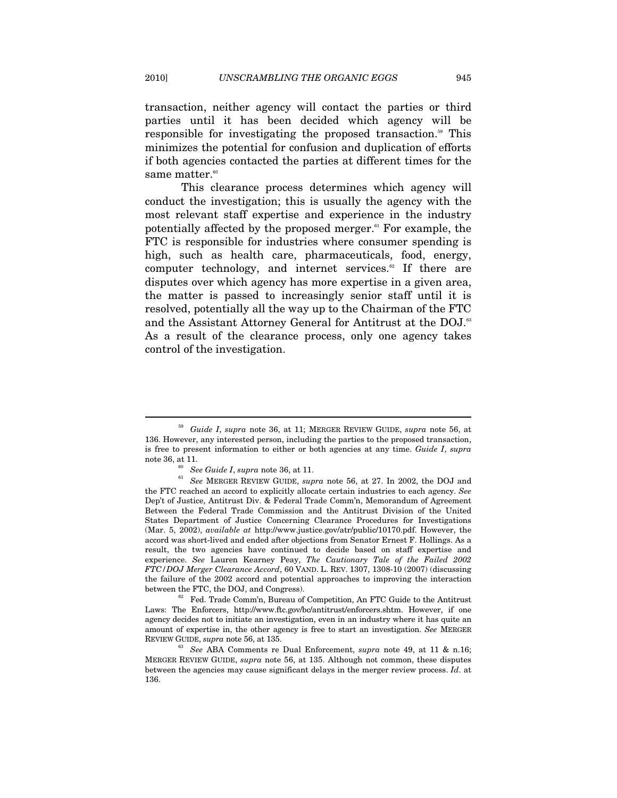transaction, neither agency will contact the parties or third parties until it has been decided which agency will be responsible for investigating the proposed transaction.<sup>59</sup> This minimizes the potential for confusion and duplication of efforts if both agencies contacted the parties at different times for the same matter.<sup>60</sup>

This clearance process determines which agency will conduct the investigation; this is usually the agency with the most relevant staff expertise and experience in the industry potentially affected by the proposed merger.<sup>61</sup> For example, the FTC is responsible for industries where consumer spending is high, such as health care, pharmaceuticals, food, energy, computer technology, and internet services.<sup>62</sup> If there are disputes over which agency has more expertise in a given area, the matter is passed to increasingly senior staff until it is resolved, potentially all the way up to the Chairman of the FTC and the Assistant Attorney General for Antitrust at the DOJ.<sup>63</sup> As a result of the clearance process, only one agency takes control of the investigation.

Laws: The Enforcers, http://www.ftc.gov/bc/antitrust/enforcers.shtm. However, if one agency decides not to initiate an investigation, even in an industry where it has quite an amount of expertise in, the other agency is free to start an investigation. *See* MERGER REVIEW GUIDE, *supra* note 56, at 135.<br><sup>63</sup> See ABA Comments re Dual Enforcement, *supra* note 49, at 11 & n.16;

<sup>59</sup> *Guide I*, *supra* note 36, at 11; MERGER REVIEW GUIDE, *supra* note 56, at 136. However, any interested person, including the parties to the proposed transaction, is free to present information to either or both agencies at any time. *Guide I*, *supra* 

note 36, at 11.<br><sup>60</sup> See Guide I, *supra* note 36, at 11.<br><sup>61</sup> See MERGER REVIEW GUIDE, *supra* note 56, at 27. In 2002, the DOJ and the FTC reached an accord to explicitly allocate certain industries to each agency. *See* Dep't of Justice, Antitrust Div. & Federal Trade Comm'n, Memorandum of Agreement Between the Federal Trade Commission and the Antitrust Division of the United States Department of Justice Concerning Clearance Procedures for Investigations (Mar. 5, 2002), *available at* http://www.justice.gov/atr/public/10170.pdf. However, the accord was short-lived and ended after objections from Senator Ernest F. Hollings. As a result, the two agencies have continued to decide based on staff expertise and experience. *See* Lauren Kearney Peay, *The Cautionary Tale of the Failed 2002 FTC/DOJ Merger Clearance Accord*, 60 VAND. L. REV. 1307, 1308-10 (2007) (discussing the failure of the 2002 accord and potential approaches to improving the interaction between the FTC, the DOJ, and Congress). <sup>62</sup> Fed. Trade Comm'n, Bureau of Competition, An FTC Guide to the Antitrust

MERGER REVIEW GUIDE, *supra* note 56, at 135. Although not common, these disputes between the agencies may cause significant delays in the merger review process. *Id*. at 136.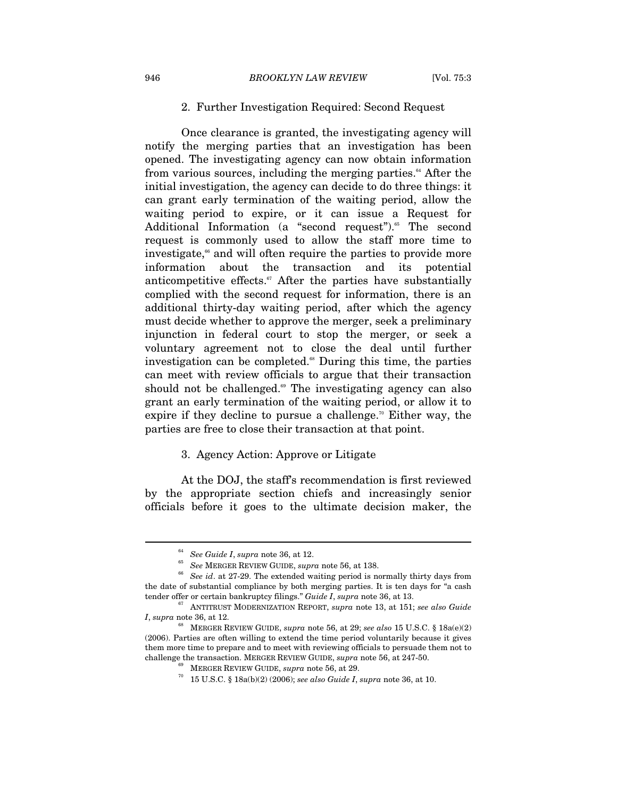#### 2. Further Investigation Required: Second Request

Once clearance is granted, the investigating agency will notify the merging parties that an investigation has been opened. The investigating agency can now obtain information from various sources, including the merging parties.<sup>64</sup> After the initial investigation, the agency can decide to do three things: it can grant early termination of the waiting period, allow the waiting period to expire, or it can issue a Request for Additional Information (a "second request").<sup>65</sup> The second request is commonly used to allow the staff more time to investigate,<sup>66</sup> and will often require the parties to provide more information about the transaction and its potential anticompetitive effects. $\sigma$  After the parties have substantially complied with the second request for information, there is an additional thirty-day waiting period, after which the agency must decide whether to approve the merger, seek a preliminary injunction in federal court to stop the merger, or seek a voluntary agreement not to close the deal until further investigation can be completed.<sup>68</sup> During this time, the parties can meet with review officials to argue that their transaction should not be challenged. $\degree$  The investigating agency can also grant an early termination of the waiting period, or allow it to expire if they decline to pursue a challenge.<sup> $n$ </sup> Either way, the parties are free to close their transaction at that point.

#### 3. Agency Action: Approve or Litigate

At the DOJ, the staff's recommendation is first reviewed by the appropriate section chiefs and increasingly senior officials before it goes to the ultimate decision maker, the

<sup>64</sup> *See Guide I*, *supra* note 36, at 12. 65 *See* MERGER REVIEW GUIDE, *supra* note 56, at 138. 66 *See id*. at 27-29. The extended waiting period is normally thirty days from the date of substantial compliance by both merging parties. It is ten days for "a cash tender offer or certain bankruptcy filings." *Guide I*, *supra* note 36, at 13.<br><sup>67</sup> ANTITRUST MODERNIZATION REPORT, *supra* note 13, at 151; *see also Guide* 

*I*, *supra* note 36, at 12.

<sup>68</sup> MERGER REVIEW GUIDE, *supra* note 56, at 29; *see also* 15 U.S.C. § 18a(e)(2) (2006). Parties are often willing to extend the time period voluntarily because it gives them more time to prepare and to meet with reviewing officials to persuade them not to challenge the transaction. MERGER REVIEW GUIDE, *supra* note 56, at 247-50.<br><sup>69</sup> MERGER REVIEW GUIDE, *supra* note 56, at 29.<br><sup>70</sup> 15 U.S.C. § 18a(b)(2) (2006); *see also Guide I*, *supra* note 36, at 10.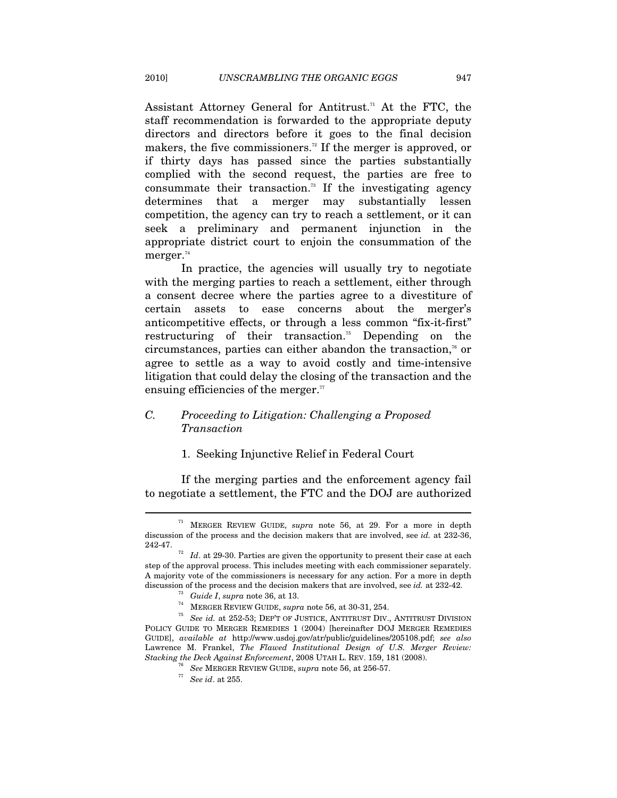Assistant Attorney General for Antitrust.<sup>71</sup> At the FTC, the staff recommendation is forwarded to the appropriate deputy directors and directors before it goes to the final decision makers, the five commissioners.<sup>72</sup> If the merger is approved, or if thirty days has passed since the parties substantially complied with the second request, the parties are free to consummate their transaction.<sup>73</sup> If the investigating agency determines that a merger may substantially lessen competition, the agency can try to reach a settlement, or it can seek a preliminary and permanent injunction in the appropriate district court to enjoin the consummation of the merger.<sup>74</sup>

In practice, the agencies will usually try to negotiate with the merging parties to reach a settlement, either through a consent decree where the parties agree to a divestiture of certain assets to ease concerns about the merger's anticompetitive effects, or through a less common "fix-it-first" restructuring of their transaction.<sup>75</sup> Depending on the circumstances, parties can either abandon the transaction, $\alpha$  or agree to settle as a way to avoid costly and time-intensive litigation that could delay the closing of the transaction and the ensuing efficiencies of the merger.<sup>77</sup>

# *C. Proceeding to Litigation: Challenging a Proposed Transaction*

# 1. Seeking Injunctive Relief in Federal Court

If the merging parties and the enforcement agency fail to negotiate a settlement, the FTC and the DOJ are authorized

<sup>71</sup> MERGER REVIEW GUIDE, *supra* note 56, at 29. For a more in depth discussion of the process and the decision makers that are involved, see *id.* at 232-36, 242-47. 72 *Id*. at 29-30. Parties are given the opportunity to present their case at each

step of the approval process. This includes meeting with each commissioner separately. A majority vote of the commissioners is necessary for any action. For a more in depth

discussion of the process and the decision makers that are involved, see *id.* at 232-42.<br><sup>73</sup> Guide I, supra note 36, at 13.<br><sup>74</sup> MERGER REVIEW GUIDE, supra note 56, at 30-31, 254.<br>*<sup>75</sup> See id.* at 252-53; DEP'T OF JUST POLICY GUIDE TO MERGER REMEDIES 1 (2004) [hereinafter DOJ MERGER REMEDIES GUIDE], *available at* http://www.usdoj.gov/atr/public/guidelines/205108.pdf; *see also* Lawrence M. Frankel, *The Flawed Institutional Design of U.S. Merger Review: Stacking the Deck Against Enforcement*, 2008 UTAH L. REV. 159, 181 (2008). 76 *See* MERGER REVIEW GUIDE, *supra* note 56, at 256-57. 77 *See id*. at 255.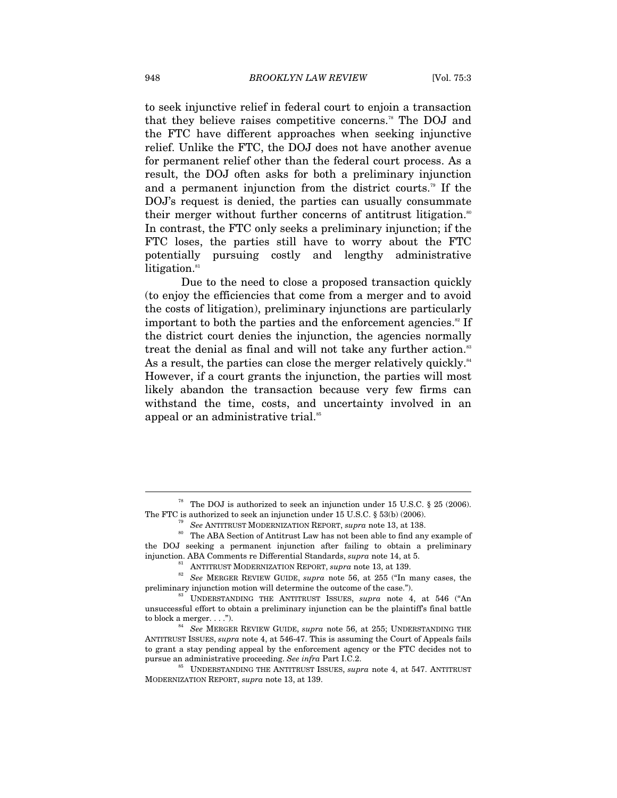to seek injunctive relief in federal court to enjoin a transaction that they believe raises competitive concerns.<sup>78</sup> The DOJ and the FTC have different approaches when seeking injunctive relief. Unlike the FTC, the DOJ does not have another avenue for permanent relief other than the federal court process. As a result, the DOJ often asks for both a preliminary injunction and a permanent injunction from the district courts.79 If the DOJ's request is denied, the parties can usually consummate their merger without further concerns of antitrust litigation.<sup>80</sup> In contrast, the FTC only seeks a preliminary injunction; if the FTC loses, the parties still have to worry about the FTC potentially pursuing costly and lengthy administrative litigation.<sup>81</sup>

Due to the need to close a proposed transaction quickly (to enjoy the efficiencies that come from a merger and to avoid the costs of litigation), preliminary injunctions are particularly important to both the parties and the enforcement agencies.<sup>82</sup> If the district court denies the injunction, the agencies normally treat the denial as final and will not take any further action.<sup>83</sup> As a result, the parties can close the merger relatively quickly. $84$ However, if a court grants the injunction, the parties will most likely abandon the transaction because very few firms can withstand the time, costs, and uncertainty involved in an appeal or an administrative trial.<sup>85</sup>

<sup>&</sup>lt;sup>78</sup> The DOJ is authorized to seek an injunction under 15 U.S.C. § 25 (2006). The FTC is authorized to seek an injunction under 15 U.S.C. § 53(b) (2006).

<sup>&</sup>lt;sup>79</sup> See ANTITRUST MODERNIZATION REPORT, *supra* note 13, at 138.<br><sup>80</sup> The ABA Section of Antitrust Law has not been able to find any example of the DOJ seeking a permanent injunction after failing to obtain a preliminary

injunction. ABA Comments re Differential Standards, *supra* note 14, at 5.<br><sup>81</sup> ANTITRUST MODERNIZATION REPORT, *supra* note 13, at 139.<br><sup>82</sup> *See* MERGER REVIEW GUIDE, *supra* note 56, at 255 ("In many cases, the preliminary injunction motion will determine the outcome of the case.").<br><sup>83</sup> UNDERSTANDING THE ANTITRUST ISSUES, *supra* note 4, at 546 ("An

unsuccessful effort to obtain a preliminary injunction can be the plaintiff's final battle to block a merger. . . ."). 84 *See* MERGER REVIEW GUIDE, *supra* note 56, at 255; UNDERSTANDING THE

ANTITRUST ISSUES, *supra* note 4, at 546-47. This is assuming the Court of Appeals fails to grant a stay pending appeal by the enforcement agency or the FTC decides not to pursue an administrative proceeding. *See infra* Part I.C.2. 85 UNDERSTANDING THE ANTITRUST ISSUES, *supra* note 4, at 547. ANTITRUST

MODERNIZATION REPORT, *supra* note 13, at 139.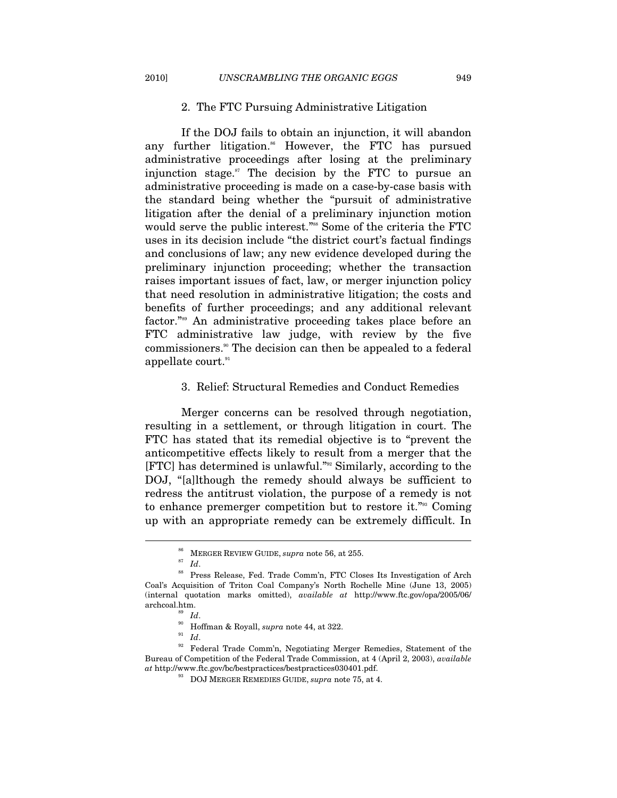#### 2. The FTC Pursuing Administrative Litigation

If the DOJ fails to obtain an injunction, it will abandon any further litigation.<sup>86</sup> However, the FTC has pursued administrative proceedings after losing at the preliminary injunction stage. $\mathbb{S}^7$  The decision by the FTC to pursue an administrative proceeding is made on a case-by-case basis with the standard being whether the "pursuit of administrative litigation after the denial of a preliminary injunction motion would serve the public interest."<sup>88</sup> Some of the criteria the FTC uses in its decision include "the district court's factual findings and conclusions of law; any new evidence developed during the preliminary injunction proceeding; whether the transaction raises important issues of fact, law, or merger injunction policy that need resolution in administrative litigation; the costs and benefits of further proceedings; and any additional relevant factor."89 An administrative proceeding takes place before an FTC administrative law judge, with review by the five commissioners.<sup>90</sup> The decision can then be appealed to a federal appellate court.<sup>91</sup>

#### 3. Relief: Structural Remedies and Conduct Remedies

Merger concerns can be resolved through negotiation, resulting in a settlement, or through litigation in court. The FTC has stated that its remedial objective is to "prevent the anticompetitive effects likely to result from a merger that the [FTC] has determined is unlawful."92 Similarly, according to the DOJ, "[a]lthough the remedy should always be sufficient to redress the antitrust violation, the purpose of a remedy is not to enhance premerger competition but to restore it."93 Coming up with an appropriate remedy can be extremely difficult. In

<sup>&</sup>lt;sup>86</sup> MERGER REVIEW GUIDE, *supra* note 56, at 255.<br><sup>87</sup> *Id.* 88 Press Release, Fed. Trade Comm'n, FTC Closes Its Investigation of Arch Coal's Acquisition of Triton Coal Company's North Rochelle Mine (June 13, 2005) (internal quotation marks omitted), *available at* http://www.ftc.gov/opa/2005/06/ archcoal.htm.<br><sup>89</sup> *Id*.<br><sup>90</sup> Hoffman & Royall, *supra* note 44, at 322.<br><sup>91</sup> *Id*.<br><sup>92</sup> Federal Trade Comm'n, Negotiating Merger Remedies, Statement of the

Bureau of Competition of the Federal Trade Commission, at 4 (April 2, 2003), *available at* http://www.ftc.gov/bc/bestpractices/bestpractices030401.pdf. 93 DOJ MERGER REMEDIES GUIDE, *supra* note 75, at 4.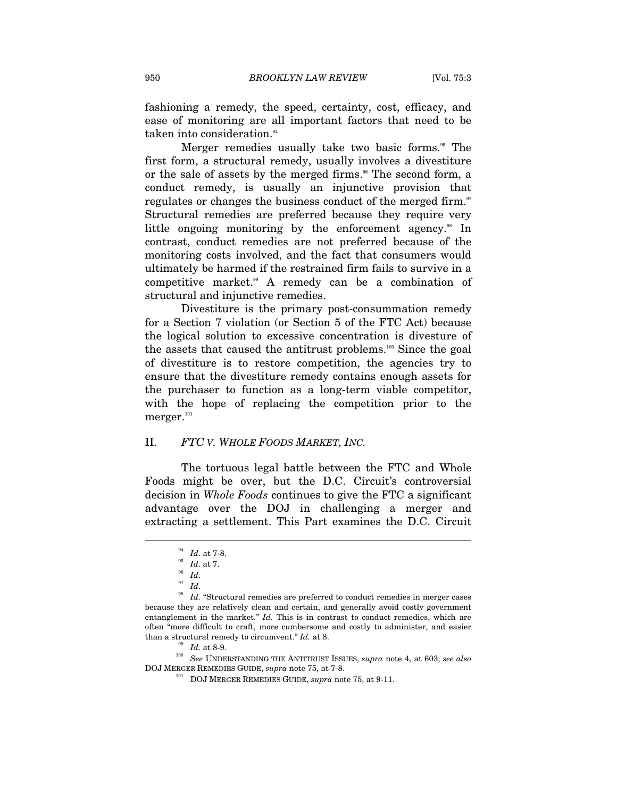fashioning a remedy, the speed, certainty, cost, efficacy, and ease of monitoring are all important factors that need to be taken into consideration.<sup>94</sup>

Merger remedies usually take two basic forms.<sup>95</sup> The first form, a structural remedy, usually involves a divestiture or the sale of assets by the merged firms.<sup>96</sup> The second form, a conduct remedy, is usually an injunctive provision that regulates or changes the business conduct of the merged firm.<sup>97</sup> Structural remedies are preferred because they require very little ongoing monitoring by the enforcement agency.<sup>98</sup> In contrast, conduct remedies are not preferred because of the monitoring costs involved, and the fact that consumers would ultimately be harmed if the restrained firm fails to survive in a competitive market.<sup>99</sup> A remedy can be a combination of structural and injunctive remedies.

Divestiture is the primary post-consummation remedy for a Section 7 violation (or Section 5 of the FTC Act) because the logical solution to excessive concentration is divesture of the assets that caused the antitrust problems.<sup>100</sup> Since the goal of divestiture is to restore competition, the agencies try to ensure that the divestiture remedy contains enough assets for the purchaser to function as a long-term viable competitor, with the hope of replacing the competition prior to the  $\rm merger.^{\scriptscriptstyle 101}$ 

#### II. *FTC V. WHOLE FOODS MARKET, INC.*

The tortuous legal battle between the FTC and Whole Foods might be over, but the D.C. Circuit's controversial decision in *Whole Foods* continues to give the FTC a significant advantage over the DOJ in challenging a merger and extracting a settlement. This Part examines the D.C. Circuit

 $\overline{a}$ 

<sup>99</sup> *Id.* at 8-9. *Ioo See* UNDERSTANDING THE ANTITRUST ISSUES, *supra* note 4, at 603; *see also* DOJ MERGER REMEDIES GUIDE, *supra* note 75, at 7-8. 101 DOJ MERGER REMEDIES GUIDE, *supra* note 75, at 9-11.

<sup>94</sup> *Id*. at 7-8. 95 *Id*. at 7. 96 *Id*. 97 *Id*. 98 *Id.* "Structural remedies are preferred to conduct remedies in merger cases because they are relatively clean and certain, and generally avoid costly government entanglement in the market." *Id.* This is in contrast to conduct remedies, which are often "more difficult to craft, more cumbersome and costly to administer, and easier than a structural remedy to circumvent."  $Id$ . at 8.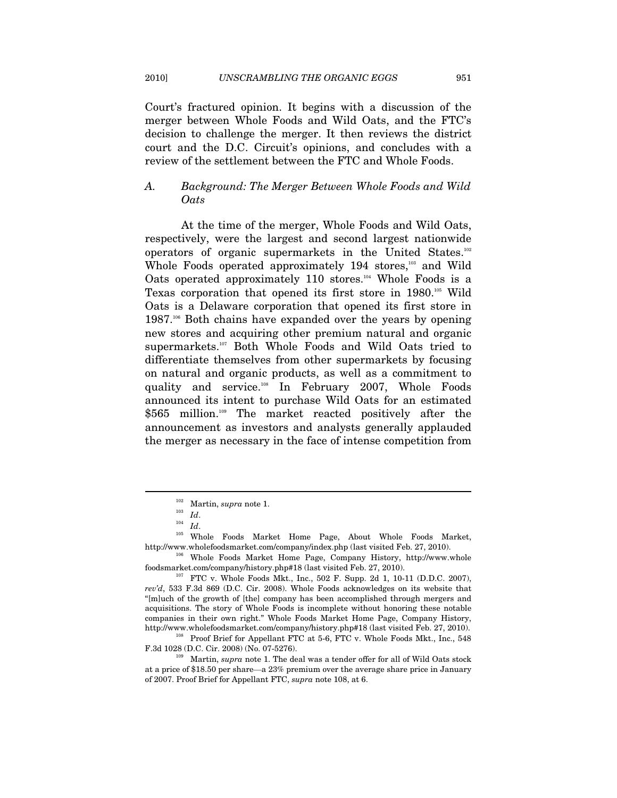Court's fractured opinion. It begins with a discussion of the merger between Whole Foods and Wild Oats, and the FTC's decision to challenge the merger. It then reviews the district court and the D.C. Circuit's opinions, and concludes with a review of the settlement between the FTC and Whole Foods.

# *A. Background: The Merger Between Whole Foods and Wild Oats*

At the time of the merger, Whole Foods and Wild Oats, respectively, were the largest and second largest nationwide operators of organic supermarkets in the United States.102 Whole Foods operated approximately 194 stores,<sup>103</sup> and Wild Oats operated approximately 110 stores.<sup>104</sup> Whole Foods is a Texas corporation that opened its first store in 1980.105 Wild Oats is a Delaware corporation that opened its first store in 1987.<sup>106</sup> Both chains have expanded over the years by opening new stores and acquiring other premium natural and organic supermarkets.<sup>107</sup> Both Whole Foods and Wild Oats tried to differentiate themselves from other supermarkets by focusing on natural and organic products, as well as a commitment to quality and service.108 In February 2007, Whole Foods announced its intent to purchase Wild Oats for an estimated \$565 million.<sup>109</sup> The market reacted positively after the announcement as investors and analysts generally applauded the merger as necessary in the face of intense competition from

<sup>102</sup> Martin, *supra* note 1. 103 *Id*. 104 *Id*. 105 Whole Foods Market Home Page, About Whole Foods Market,

http://www.wholefoodsmarket.com/company/index.php (last visited Feb. 27, 2010).<br><sup>106</sup> Whole Foods Market Home Page, Company History, http://www.whole foodsmarket.com/company/history.php#18 (last visited Feb. 27, 2010). 107 FTC v. Whole Foods Mkt., Inc., 502 F. Supp. 2d 1, 10-11 (D.D.C. 2007),

*rev'd*, 533 F.3d 869 (D.C. Cir. 2008). Whole Foods acknowledges on its website that "[m]uch of the growth of [the] company has been accomplished through mergers and acquisitions. The story of Whole Foods is incomplete without honoring these notable companies in their own right." Whole Foods Market Home Page, Company History,

http://www.wholefoodsmarket.com/company/history.php#18 (last visited Feb. 27, 2010). 108 Proof Brief for Appellant FTC at 5-6, FTC v. Whole Foods Mkt., Inc., 548 F.3d 1028 (D.C. Cir. 2008) (No. 07-5276). 109 Martin, *supra* note 1. The deal was a tender offer for all of Wild Oats stock

at a price of \$18.50 per share—a 23% premium over the average share price in January of 2007. Proof Brief for Appellant FTC, *supra* note 108, at 6.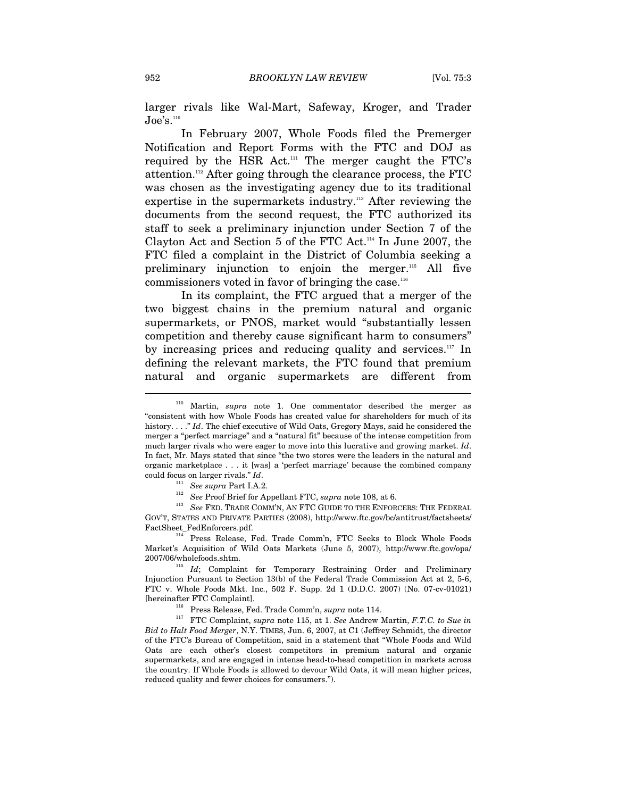larger rivals like Wal-Mart, Safeway, Kroger, and Trader  $J\Omega$ e's.<sup>110</sup>

In February 2007, Whole Foods filed the Premerger Notification and Report Forms with the FTC and DOJ as required by the HSR Act.<sup>111</sup> The merger caught the FTC's attention.112 After going through the clearance process, the FTC was chosen as the investigating agency due to its traditional expertise in the supermarkets industry.<sup>113</sup> After reviewing the documents from the second request, the FTC authorized its staff to seek a preliminary injunction under Section 7 of the Clayton Act and Section 5 of the FTC Act.114 In June 2007, the FTC filed a complaint in the District of Columbia seeking a preliminary injunction to enjoin the merger.115 All five commissioners voted in favor of bringing the case.116

In its complaint, the FTC argued that a merger of the two biggest chains in the premium natural and organic supermarkets, or PNOS, market would "substantially lessen competition and thereby cause significant harm to consumers" by increasing prices and reducing quality and services. $117$  In defining the relevant markets, the FTC found that premium natural and organic supermarkets are different from

GOV'T, STATES AND PRIVATE PARTIES (2008), http://www.ftc.gov/bc/antitrust/factsheets/

<sup>114</sup> Press Release, Fed. Trade Comm'n, FTC Seeks to Block Whole Foods Market's Acquisition of Wild Oats Markets (June 5, 2007), http://www.ftc.gov/opa/ 2007/06/wholefoods.shtm. 115 *Id*; Complaint for Temporary Restraining Order and Preliminary

Injunction Pursuant to Section 13(b) of the Federal Trade Commission Act at 2, 5-6, FTC v. Whole Foods Mkt. Inc., 502 F. Supp. 2d 1 (D.D.C. 2007) (No. 07-cv-01021)

[hereinafter FTC Complaint]. 116 Press Release, Fed. Trade Comm'n, *supra* note 114. 117 FTC Complaint, *supra* note 115, at 1. *See* Andrew Martin, *F.T.C. to Sue in Bid to Halt Food Merger*, N.Y. TIMES, Jun. 6, 2007, at C1 (Jeffrey Schmidt, the director of the FTC's Bureau of Competition, said in a statement that "Whole Foods and Wild Oats are each other's closest competitors in premium natural and organic supermarkets, and are engaged in intense head-to-head competition in markets across the country. If Whole Foods is allowed to devour Wild Oats, it will mean higher prices, reduced quality and fewer choices for consumers.").

Martin, *supra* note 1. One commentator described the merger as "consistent with how Whole Foods has created value for shareholders for much of its history. . . ." *Id*. The chief executive of Wild Oats, Gregory Mays, said he considered the merger a "perfect marriage" and a "natural fit" because of the intense competition from much larger rivals who were eager to move into this lucrative and growing market. *Id*. In fact, Mr. Mays stated that since "the two stores were the leaders in the natural and organic marketplace . . . it [was] a 'perfect marriage' because the combined company % could focus on larger rivals." Id. See supra Part I.A.2.<br>  $^{111}$  See supra Part I.A.2.<br>  $^{112}$  See Proof Brief for Appellant FTC, supra note 108, at 6.<br>  $^{113}$  See FED. TRADE COMM'N, AN FTC GUIDE TO THE ENFORCERS: TH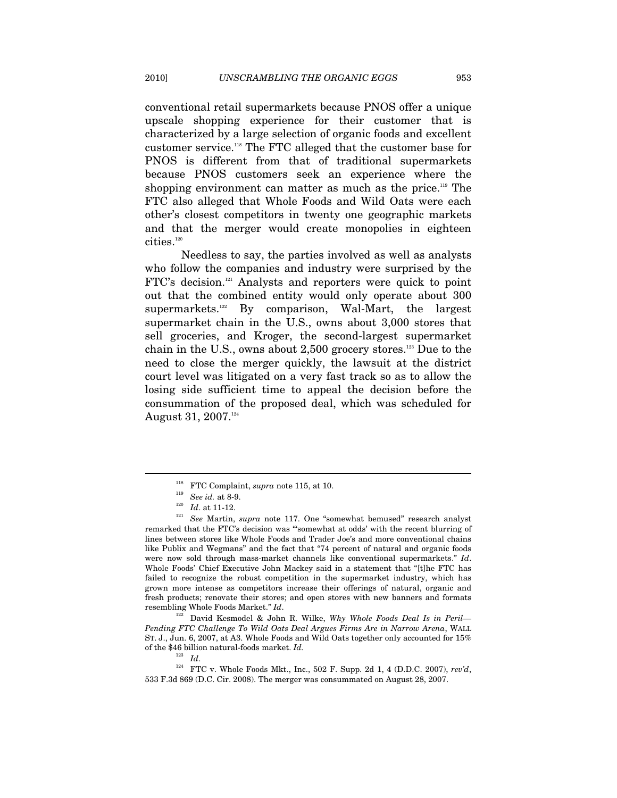conventional retail supermarkets because PNOS offer a unique upscale shopping experience for their customer that is characterized by a large selection of organic foods and excellent customer service.118 The FTC alleged that the customer base for PNOS is different from that of traditional supermarkets because PNOS customers seek an experience where the shopping environment can matter as much as the price.<sup>119</sup> The FTC also alleged that Whole Foods and Wild Oats were each other's closest competitors in twenty one geographic markets and that the merger would create monopolies in eighteen  $\rm{cities.}^{_{120}}$ 

Needless to say, the parties involved as well as analysts who follow the companies and industry were surprised by the FTC's decision.<sup>121</sup> Analysts and reporters were quick to point out that the combined entity would only operate about 300 supermarkets.<sup>122</sup> By comparison, Wal-Mart, the largest supermarket chain in the U.S., owns about 3,000 stores that sell groceries, and Kroger, the second-largest supermarket chain in the U.S., owns about 2,500 grocery stores.123 Due to the need to close the merger quickly, the lawsuit at the district court level was litigated on a very fast track so as to allow the losing side sufficient time to appeal the decision before the consummation of the proposed deal, which was scheduled for August 31, 2007.<sup>124</sup>

 $\overline{a}$ 

*Pending FTC Challenge To Wild Oats Deal Argues Firms Are in Narrow Arena*, WALL ST. J., Jun. 6, 2007, at A3. Whole Foods and Wild Oats together only accounted for 15% % of the \$46 billion natural-foods market. *Id.*  $Id.$ 

<sup>&</sup>lt;sup>118</sup> FTC Complaint, *supra* note 115, at 10.<br><sup>119</sup> See *id.* at 8-9.<br><sup>120</sup> Id. at 11-12.<br><sup>121</sup> See Martin, *supra* note 117. One "somewhat bemused" research analyst remarked that the FTC's decision was "'somewhat at odds' with the recent blurring of lines between stores like Whole Foods and Trader Joe's and more conventional chains like Publix and Wegmans" and the fact that "74 percent of natural and organic foods were now sold through mass-market channels like conventional supermarkets." *Id*. Whole Foods' Chief Executive John Mackey said in a statement that "[t]he FTC has failed to recognize the robust competition in the supermarket industry, which has grown more intense as competitors increase their offerings of natural, organic and fresh products; renovate their stores; and open stores with new banners and formats resembling Whole Foods Market." *Id*. 122 David Kesmodel & John R. Wilke, *Why Whole Foods Deal Is in Peril—*

<sup>&</sup>lt;sup>124</sup> FTC v. Whole Foods Mkt., Inc., 502 F. Supp. 2d 1, 4 (D.D.C. 2007),  $rev'd$ , 533 F.3d 869 (D.C. Cir. 2008). The merger was consummated on August 28, 2007.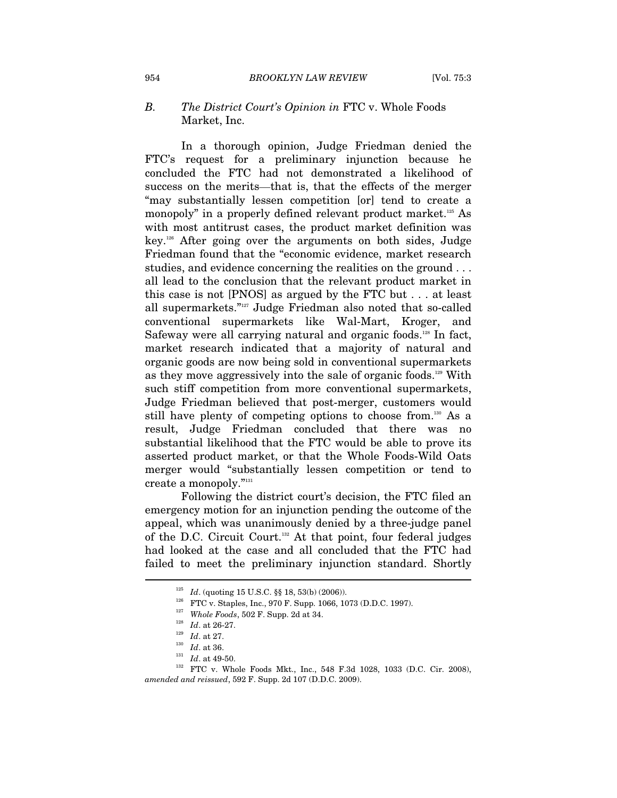# *B. The District Court's Opinion in* FTC v. Whole Foods Market, Inc.

In a thorough opinion, Judge Friedman denied the FTC's request for a preliminary injunction because he concluded the FTC had not demonstrated a likelihood of success on the merits—that is, that the effects of the merger "may substantially lessen competition [or] tend to create a monopoly" in a properly defined relevant product market.<sup>125</sup> As with most antitrust cases, the product market definition was key.126 After going over the arguments on both sides, Judge Friedman found that the "economic evidence, market research studies, and evidence concerning the realities on the ground . . . all lead to the conclusion that the relevant product market in this case is not [PNOS] as argued by the FTC but . . . at least all supermarkets."127 Judge Friedman also noted that so-called conventional supermarkets like Wal-Mart, Kroger, and Safeway were all carrying natural and organic foods.<sup>128</sup> In fact, market research indicated that a majority of natural and organic goods are now being sold in conventional supermarkets as they move aggressively into the sale of organic foods.129 With such stiff competition from more conventional supermarkets, Judge Friedman believed that post-merger, customers would still have plenty of competing options to choose from.<sup>130</sup> As a result, Judge Friedman concluded that there was no substantial likelihood that the FTC would be able to prove its asserted product market, or that the Whole Foods-Wild Oats merger would "substantially lessen competition or tend to create a monopoly."131

Following the district court's decision, the FTC filed an emergency motion for an injunction pending the outcome of the appeal, which was unanimously denied by a three-judge panel of the D.C. Circuit Court.<sup>132</sup> At that point, four federal judges had looked at the case and all concluded that the FTC had failed to meet the preliminary injunction standard. Shortly  $\overline{a}$ 

<sup>&</sup>lt;sup>125</sup> *Id.* (quoting 15 U.S.C. §§ 18, 53(b) (2006)).<br>
<sup>126</sup> **FTC** v. Staples, Inc., 970 F. Supp. 1066, 1073 (D.D.C. 1997).<br>
<sup>127</sup> *Whole Foods*, 502 F. Supp. 2d at 34.<br>
<sup>128</sup> *Id.* at 26-27.<br> *Id.* at 27.<br> *Id.* at 36.<br>
<sup></sup> *amended and reissued*, 592 F. Supp. 2d 107 (D.D.C. 2009).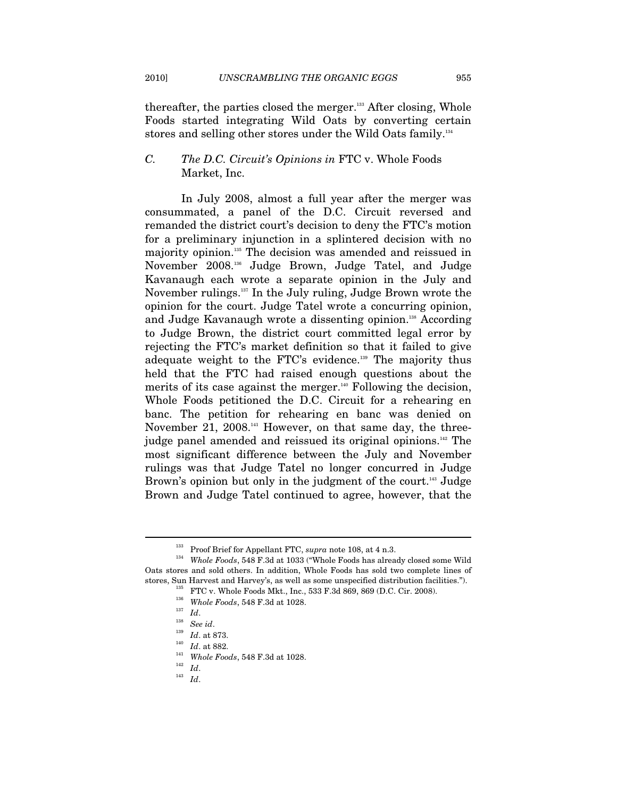thereafter, the parties closed the merger.<sup>133</sup> After closing, Whole

Foods started integrating Wild Oats by converting certain stores and selling other stores under the Wild Oats family.<sup>134</sup>

# *C. The D.C. Circuit's Opinions in* FTC v. Whole Foods Market, Inc.

In July 2008, almost a full year after the merger was consummated, a panel of the D.C. Circuit reversed and remanded the district court's decision to deny the FTC's motion for a preliminary injunction in a splintered decision with no majority opinion.135 The decision was amended and reissued in November 2008.136 Judge Brown, Judge Tatel, and Judge Kavanaugh each wrote a separate opinion in the July and November rulings.137 In the July ruling, Judge Brown wrote the opinion for the court. Judge Tatel wrote a concurring opinion, and Judge Kavanaugh wrote a dissenting opinion.<sup>138</sup> According to Judge Brown, the district court committed legal error by rejecting the FTC's market definition so that it failed to give adequate weight to the FTC's evidence.<sup>139</sup> The majority thus held that the FTC had raised enough questions about the merits of its case against the merger. $140$  Following the decision, Whole Foods petitioned the D.C. Circuit for a rehearing en banc. The petition for rehearing en banc was denied on November 21, 2008.<sup>141</sup> However, on that same day, the threejudge panel amended and reissued its original opinions.<sup>142</sup> The most significant difference between the July and November rulings was that Judge Tatel no longer concurred in Judge Brown's opinion but only in the judgment of the court.<sup>143</sup> Judge Brown and Judge Tatel continued to agree, however, that the

<sup>&</sup>lt;sup>133</sup> Proof Brief for Appellant FTC, *supra* note 108, at 4 n.3.<br><sup>134</sup> Whole Foods, 548 F.3d at 1033 ("Whole Foods has already closed some Wild Oats stores and sold others. In addition, Whole Foods has sold two complete lines of stores, Sun Harvest and Harvey's, as well as some unspecified distribution facilities."). stores, Sun Harvest and Harvey's, as well as some unspecified distribution facilities.").<br>
<sup>135</sup> FTC v. Whole Foods Mkt., Inc., 533 F.3d 869, 869 (D.C. Cir. 2008).<br>
<sup>136</sup> *Whole Foods*, 548 F.3d at 1028.<br>
<sup>137</sup> *Id.*<br>
<sup>13</sup>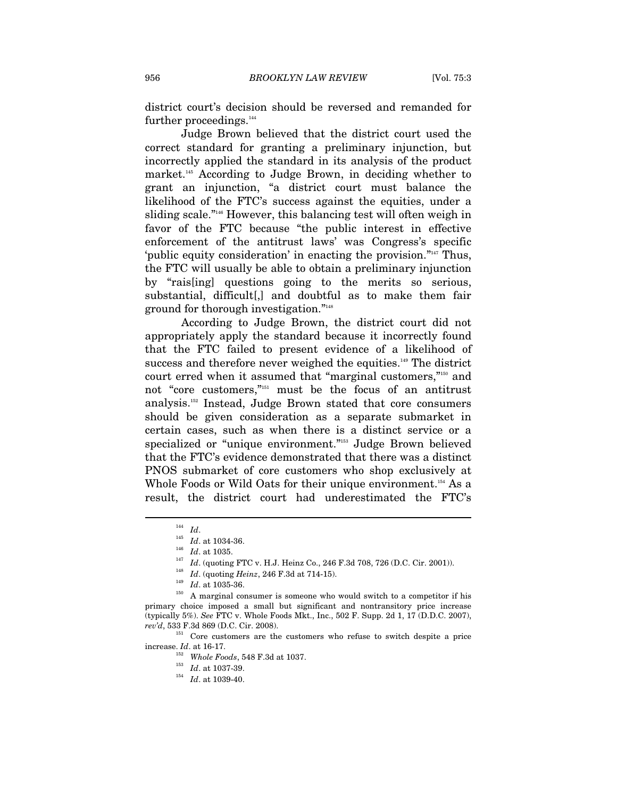district court's decision should be reversed and remanded for further proceedings.<sup>144</sup>

Judge Brown believed that the district court used the correct standard for granting a preliminary injunction, but incorrectly applied the standard in its analysis of the product market.<sup>145</sup> According to Judge Brown, in deciding whether to grant an injunction, "a district court must balance the likelihood of the FTC's success against the equities, under a sliding scale."146 However, this balancing test will often weigh in favor of the FTC because "the public interest in effective enforcement of the antitrust laws' was Congress's specific 'public equity consideration' in enacting the provision."147 Thus, the FTC will usually be able to obtain a preliminary injunction by "rais[ing] questions going to the merits so serious, substantial, difficult[,] and doubtful as to make them fair ground for thorough investigation."148

According to Judge Brown, the district court did not appropriately apply the standard because it incorrectly found that the FTC failed to present evidence of a likelihood of success and therefore never weighed the equities.<sup>149</sup> The district court erred when it assumed that "marginal customers,"150 and not "core customers,"151 must be the focus of an antitrust analysis.152 Instead, Judge Brown stated that core consumers should be given consideration as a separate submarket in certain cases, such as when there is a distinct service or a specialized or "unique environment."<sup>153</sup> Judge Brown believed that the FTC's evidence demonstrated that there was a distinct PNOS submarket of core customers who shop exclusively at Whole Foods or Wild Oats for their unique environment.<sup>154</sup> As a result, the district court had underestimated the FTC's

 $\overline{a}$ 

*rev'd*, 533 F.3d 869 (D.C. Cir. 2008). 151 Core customers are the customers who refuse to switch despite a price increase. *Id*. at 16-17. 152 *Whole Foods*, 548 F.3d at 1037. 153 *Id*. at 1037-39. 154 *Id*. at 1039-40.

<sup>&</sup>lt;sup>144</sup> *Id.* at 1034-36.<br>
<sup>146</sup> *Id.* at 1035.<br>
<sup>146</sup> *Id.* (quoting FTC v. H.J. Heinz Co., 246 F.3d 708, 726 (D.C. Cir. 2001)).<br>
<sup>148</sup> *Id.* (quoting *Heinz*, 246 F.3d at 714-15).<br>
<sup>148</sup> *Id.* at 1035-36.<br> *A* marginal co primary choice imposed a small but significant and nontransitory price increase (typically 5%). *See* FTC v. Whole Foods Mkt., Inc., 502 F. Supp. 2d 1, 17 (D.D.C. 2007),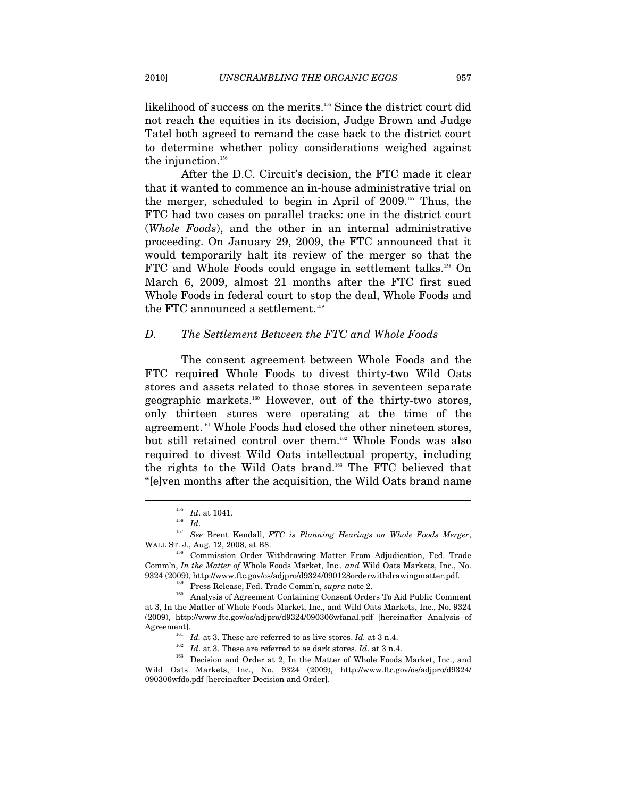likelihood of success on the merits.155 Since the district court did not reach the equities in its decision, Judge Brown and Judge Tatel both agreed to remand the case back to the district court to determine whether policy considerations weighed against the injunction.<sup>156</sup>

After the D.C. Circuit's decision, the FTC made it clear that it wanted to commence an in-house administrative trial on the merger, scheduled to begin in April of 2009.157 Thus, the FTC had two cases on parallel tracks: one in the district court (*Whole Foods*), and the other in an internal administrative proceeding. On January 29, 2009, the FTC announced that it would temporarily halt its review of the merger so that the FTC and Whole Foods could engage in settlement talks.<sup>158</sup> On March 6, 2009, almost 21 months after the FTC first sued Whole Foods in federal court to stop the deal, Whole Foods and the FTC announced a settlement.<sup>159</sup>

#### *D. The Settlement Between the FTC and Whole Foods*

The consent agreement between Whole Foods and the FTC required Whole Foods to divest thirty-two Wild Oats stores and assets related to those stores in seventeen separate geographic markets.160 However, out of the thirty-two stores, only thirteen stores were operating at the time of the agreement.<sup>161</sup> Whole Foods had closed the other nineteen stores, but still retained control over them.<sup>162</sup> Whole Foods was also required to divest Wild Oats intellectual property, including the rights to the Wild Oats brand.163 The FTC believed that "[e]ven months after the acquisition, the Wild Oats brand name

<sup>155</sup> *Id*. at 1041. 156 *Id*. 157 *See* Brent Kendall, *FTC is Planning Hearings on Whole Foods Merger*, WALL ST. J., Aug. 12, 2008, at B8.

<sup>158</sup> Commission Order Withdrawing Matter From Adjudication, Fed. Trade Comm'n, *In the Matter of* Whole Foods Market, Inc.*, and* Wild Oats Markets, Inc., No.

<sup>&</sup>lt;sup>159</sup> Press Release, Fed. Trade Comm'n, *supra* note 2.<br><sup>160</sup> Analysis of Agreement Containing Consent Orders To Aid Public Comment at 3, In the Matter of Whole Foods Market, Inc., and Wild Oats Markets, Inc., No. 9324 (2009), http://www.ftc.gov/os/adjpro/d9324/090306wfanal.pdf [hereinafter Analysis of

Agreement].<br>
<sup>161</sup> *Id.* at 3. These are referred to as live stores. *Id.* at 3 n.4.<br>
<sup>162</sup> *Id.* at 3. These are referred to as dark stores. *Id.* at 3 n.4.<br>
<sup>163</sup> Decision and Order at 2, In the Matter of Whole Foods Ma Wild Oats Markets, Inc., No. 9324 (2009), http://www.ftc.gov/os/adjpro/d9324/ 090306wfdo.pdf [hereinafter Decision and Order].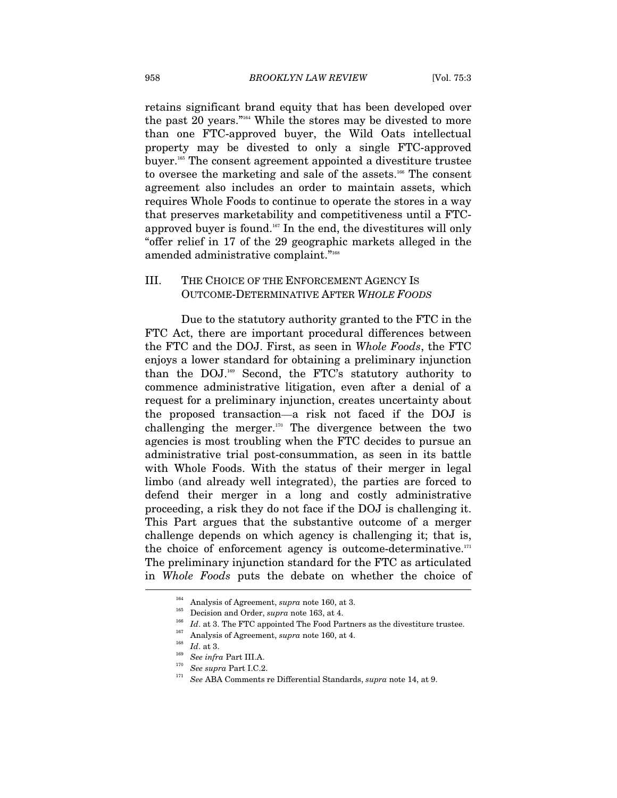retains significant brand equity that has been developed over the past 20 years."164 While the stores may be divested to more than one FTC-approved buyer, the Wild Oats intellectual property may be divested to only a single FTC-approved buyer.165 The consent agreement appointed a divestiture trustee to oversee the marketing and sale of the assets.<sup>166</sup> The consent agreement also includes an order to maintain assets, which requires Whole Foods to continue to operate the stores in a way that preserves marketability and competitiveness until a FTCapproved buyer is found.167 In the end, the divestitures will only "offer relief in 17 of the 29 geographic markets alleged in the amended administrative complaint."<sup>168</sup>

# III. THE CHOICE OF THE ENFORCEMENT AGENCY IS OUTCOME-DETERMINATIVE AFTER *WHOLE FOODS*

Due to the statutory authority granted to the FTC in the FTC Act, there are important procedural differences between the FTC and the DOJ. First, as seen in *Whole Foods*, the FTC enjoys a lower standard for obtaining a preliminary injunction than the DOJ.169 Second, the FTC's statutory authority to commence administrative litigation, even after a denial of a request for a preliminary injunction, creates uncertainty about the proposed transaction—a risk not faced if the DOJ is challenging the merger. $170$  The divergence between the two agencies is most troubling when the FTC decides to pursue an administrative trial post-consummation, as seen in its battle with Whole Foods. With the status of their merger in legal limbo (and already well integrated), the parties are forced to defend their merger in a long and costly administrative proceeding, a risk they do not face if the DOJ is challenging it. This Part argues that the substantive outcome of a merger challenge depends on which agency is challenging it; that is, the choice of enforcement agency is outcome-determinative. $171$ The preliminary injunction standard for the FTC as articulated in *Whole Foods* puts the debate on whether the choice of

<sup>&</sup>lt;sup>164</sup> Analysis of Agreement, *supra* note 160, at 3.<br><sup>165</sup> Decision and Order, *supra* note 163, at 4.<br><sup>166</sup> Id. at 3. The FTC appointed The Food Partners as the divestiture trustee.<br><sup>167</sup> Analysis of Agreement, *supra* n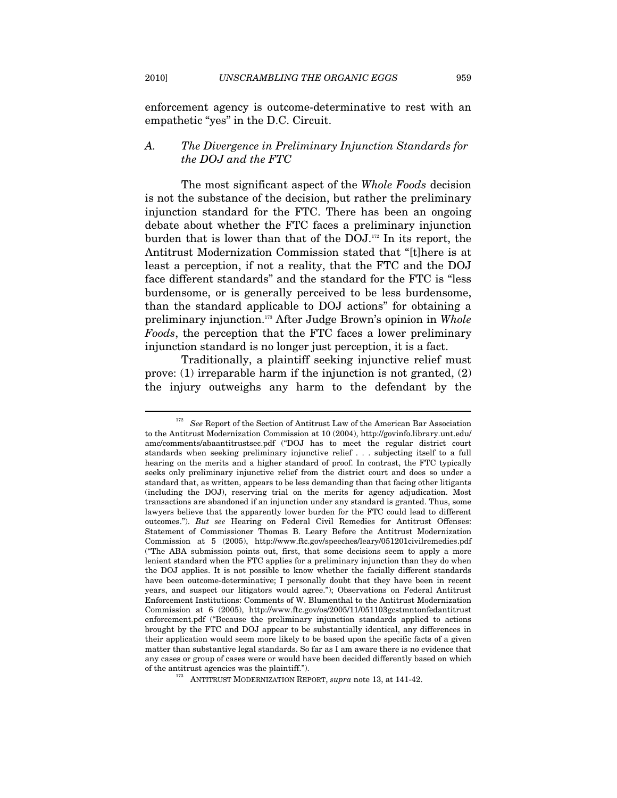enforcement agency is outcome-determinative to rest with an empathetic "yes" in the D.C. Circuit.

# *A. The Divergence in Preliminary Injunction Standards for the DOJ and the FTC*

The most significant aspect of the *Whole Foods* decision is not the substance of the decision, but rather the preliminary injunction standard for the FTC. There has been an ongoing debate about whether the FTC faces a preliminary injunction burden that is lower than that of the DOJ.172 In its report, the Antitrust Modernization Commission stated that "[t]here is at least a perception, if not a reality, that the FTC and the DOJ face different standards" and the standard for the FTC is "less burdensome, or is generally perceived to be less burdensome, than the standard applicable to DOJ actions" for obtaining a preliminary injunction.173 After Judge Brown's opinion in *Whole Foods*, the perception that the FTC faces a lower preliminary injunction standard is no longer just perception, it is a fact.

Traditionally, a plaintiff seeking injunctive relief must prove: (1) irreparable harm if the injunction is not granted, (2) the injury outweighs any harm to the defendant by the

<sup>&</sup>lt;sup>172</sup> See Report of the Section of Antitrust Law of the American Bar Association to the Antitrust Modernization Commission at 10 (2004), http://govinfo.library.unt.edu/ amc/comments/abaantitrustsec.pdf ("DOJ has to meet the regular district court standards when seeking preliminary injunctive relief . . . subjecting itself to a full hearing on the merits and a higher standard of proof. In contrast, the FTC typically seeks only preliminary injunctive relief from the district court and does so under a standard that, as written, appears to be less demanding than that facing other litigants (including the DOJ), reserving trial on the merits for agency adjudication. Most transactions are abandoned if an injunction under any standard is granted. Thus, some lawyers believe that the apparently lower burden for the FTC could lead to different outcomes."). *But see* Hearing on Federal Civil Remedies for Antitrust Offenses: Statement of Commissioner Thomas B. Leary Before the Antitrust Modernization Commission at 5 (2005), http://www.ftc.gov/speeches/leary/051201civilremedies.pdf ("The ABA submission points out, first, that some decisions seem to apply a more lenient standard when the FTC applies for a preliminary injunction than they do when the DOJ applies. It is not possible to know whether the facially different standards have been outcome-determinative; I personally doubt that they have been in recent years, and suspect our litigators would agree."); Observations on Federal Antitrust Enforcement Institutions: Comments of W. Blumenthal to the Antitrust Modernization Commission at 6 (2005), http://www.ftc.gov/os/2005/11/051103gcstmntonfedantitrust enforcement.pdf ("Because the preliminary injunction standards applied to actions brought by the FTC and DOJ appear to be substantially identical, any differences in their application would seem more likely to be based upon the specific facts of a given matter than substantive legal standards. So far as I am aware there is no evidence that any cases or group of cases were or would have been decided differently based on which of the antitrust agencies was the plaintiff."). 173 ANTITRUST MODERNIZATION REPORT, *supra* note 13, at 141-42.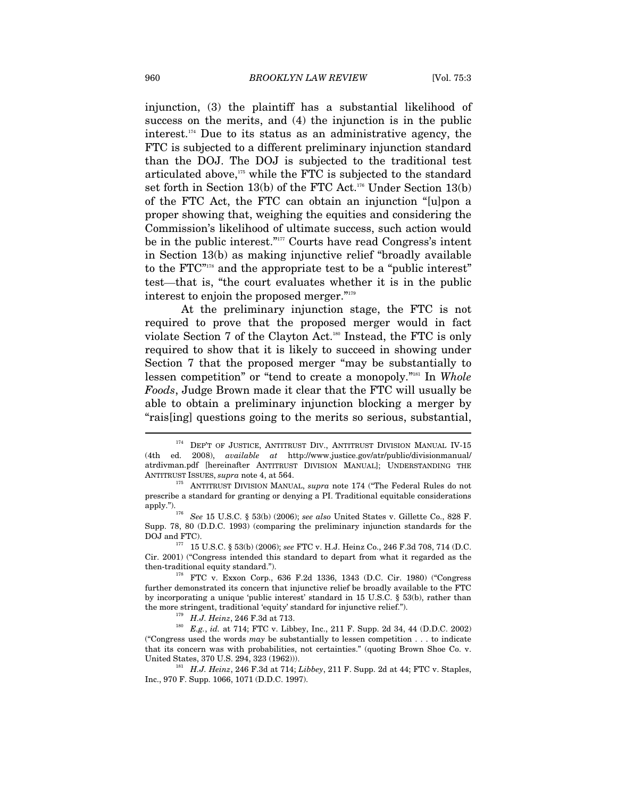injunction, (3) the plaintiff has a substantial likelihood of success on the merits, and (4) the injunction is in the public interest.174 Due to its status as an administrative agency, the FTC is subjected to a different preliminary injunction standard than the DOJ. The DOJ is subjected to the traditional test articulated above,175 while the FTC is subjected to the standard set forth in Section 13(b) of the FTC Act.<sup>176</sup> Under Section 13(b) of the FTC Act, the FTC can obtain an injunction "[u]pon a proper showing that, weighing the equities and considering the Commission's likelihood of ultimate success, such action would be in the public interest."177 Courts have read Congress's intent in Section 13(b) as making injunctive relief "broadly available to the FTC"178 and the appropriate test to be a "public interest" test—that is, "the court evaluates whether it is in the public interest to enjoin the proposed merger."179

At the preliminary injunction stage, the FTC is not required to prove that the proposed merger would in fact violate Section 7 of the Clayton Act.<sup>180</sup> Instead, the FTC is only required to show that it is likely to succeed in showing under Section 7 that the proposed merger "may be substantially to lessen competition" or "tend to create a monopoly."181 In *Whole Foods*, Judge Brown made it clear that the FTC will usually be able to obtain a preliminary injunction blocking a merger by "rais[ing] questions going to the merits so serious, substantial,

<sup>&</sup>lt;sup>174</sup> DEP'T OF JUSTICE, ANTITRUST DIV., ANTITRUST DIVISION MANUAL IV-15 (4th ed. 2008), *available at* http://www.justice.gov/atr/public/divisionmanual/ atrdivman.pdf [hereinafter ANTITRUST DIVISION MANUAL]; UNDERSTANDING THE ANTITRUST ISSUES, *supra* note 4, at 564. 175 ANTITRUST DIVISION MANUAL, *supra* note 174 ("The Federal Rules do not

prescribe a standard for granting or denying a PI. Traditional equitable considerations apply."). 176 *See* 15 U.S.C. § 53(b) (2006); *see also* United States v. Gillette Co., 828 F.

Supp. 78, 80 (D.D.C. 1993) (comparing the preliminary injunction standards for the

 $^{177}$  15 U.S.C. § 53(b) (2006); *see* FTC v. H.J. Heinz Co., 246 F.3d 708, 714 (D.C. Cir. 2001) ("Congress intended this standard to depart from what it regarded as the then-traditional equity standard."). 178 FTC v. Exxon Corp., 636 F.2d 1336, 1343 (D.C. Cir. 1980) ("Congress

further demonstrated its concern that injunctive relief be broadly available to the FTC by incorporating a unique 'public interest' standard in 15 U.S.C. § 53(b), rather than

the more stringent, traditional 'equity' standard for injunctive relief.").<br><sup>179</sup>  $H.J. Heinz, 246$  F.3d at 713.<br><sup>180</sup>  $E.g.,$  *id.* at 714; FTC v. Libbey, Inc., 211 F. Supp. 2d 34, 44 (D.D.C. 2002) ("Congress used the words *may* be substantially to lessen competition . . . to indicate that its concern was with probabilities, not certainties." (quoting Brown Shoe Co. v. United States, 370 U.S. 294, 323 (1962))).

<sup>&</sup>lt;sup>181</sup> H.J. Heinz, 246 F.3d at 714; *Libbey*, 211 F. Supp. 2d at 44; FTC v. Staples, Inc., 970 F. Supp. 1066, 1071 (D.D.C. 1997).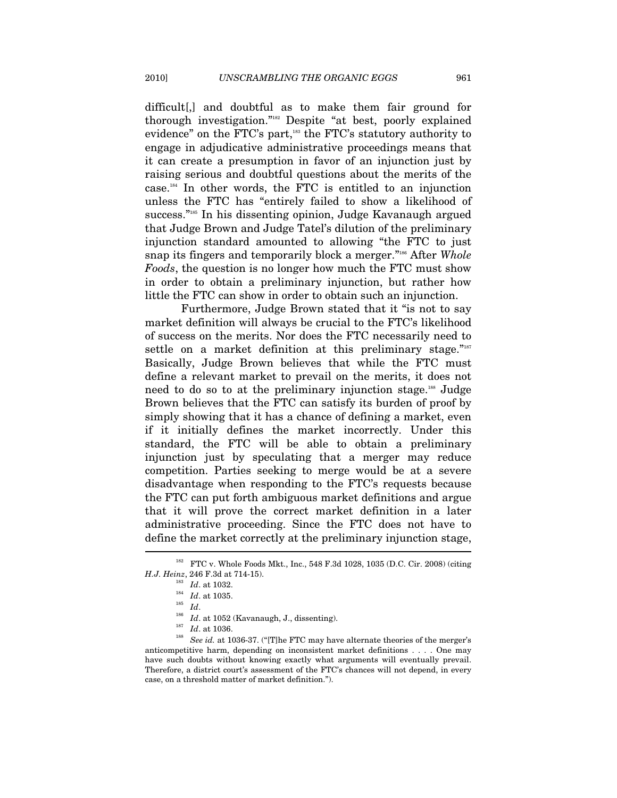difficult[,] and doubtful as to make them fair ground for thorough investigation."182 Despite "at best, poorly explained evidence" on the FTC's part,<sup>183</sup> the FTC's statutory authority to engage in adjudicative administrative proceedings means that it can create a presumption in favor of an injunction just by raising serious and doubtful questions about the merits of the case.184 In other words, the FTC is entitled to an injunction unless the FTC has "entirely failed to show a likelihood of success."185 In his dissenting opinion, Judge Kavanaugh argued that Judge Brown and Judge Tatel's dilution of the preliminary injunction standard amounted to allowing "the FTC to just snap its fingers and temporarily block a merger."186 After *Whole Foods*, the question is no longer how much the FTC must show in order to obtain a preliminary injunction, but rather how little the FTC can show in order to obtain such an injunction.

Furthermore, Judge Brown stated that it "is not to say market definition will always be crucial to the FTC's likelihood of success on the merits. Nor does the FTC necessarily need to settle on a market definition at this preliminary stage."187 Basically, Judge Brown believes that while the FTC must define a relevant market to prevail on the merits, it does not need to do so to at the preliminary injunction stage.<sup>188</sup> Judge Brown believes that the FTC can satisfy its burden of proof by simply showing that it has a chance of defining a market, even if it initially defines the market incorrectly. Under this standard, the FTC will be able to obtain a preliminary injunction just by speculating that a merger may reduce competition. Parties seeking to merge would be at a severe disadvantage when responding to the FTC's requests because the FTC can put forth ambiguous market definitions and argue that it will prove the correct market definition in a later administrative proceeding. Since the FTC does not have to define the market correctly at the preliminary injunction stage,

<sup>182</sup> FTC v. Whole Foods Mkt., Inc., 548 F.3d 1028, 1035 (D.C. Cir. 2008) (citing

*H.J. Heinz*, 246 F.3d at 714-15).<br>
<sup>183</sup> *Id.* at 1032.<br>
<sup>184</sup> *Id.* at 1035.<br>
<sup>185</sup> *Id.*<br>
<sup>186</sup> *Id.* at 1052 (Kavanaugh, J., dissenting).<br>
<sup>187</sup> *Id.* at 1036.<br>
<sup>187</sup> *Id.* at 1036.<br>
<sup>188</sup> *See id.* at 1036-37. ("[T]h anticompetitive harm, depending on inconsistent market definitions . . . . One may have such doubts without knowing exactly what arguments will eventually prevail. Therefore, a district court's assessment of the FTC's chances will not depend, in every case, on a threshold matter of market definition.").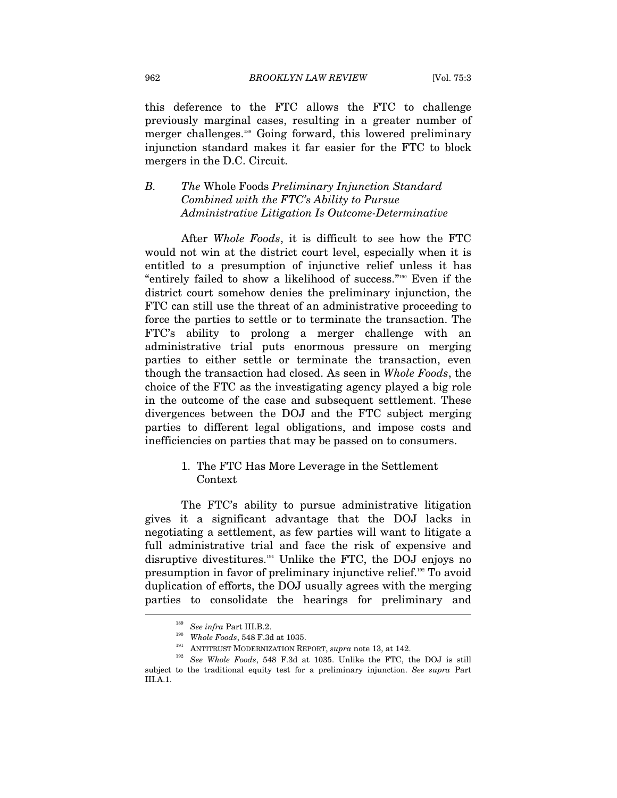this deference to the FTC allows the FTC to challenge previously marginal cases, resulting in a greater number of merger challenges.189 Going forward, this lowered preliminary injunction standard makes it far easier for the FTC to block mergers in the D.C. Circuit.

# *B. The* Whole Foods *Preliminary Injunction Standard Combined with the FTC's Ability to Pursue Administrative Litigation Is Outcome-Determinative*

After *Whole Foods*, it is difficult to see how the FTC would not win at the district court level, especially when it is entitled to a presumption of injunctive relief unless it has "entirely failed to show a likelihood of success."<sup>190</sup> Even if the district court somehow denies the preliminary injunction, the FTC can still use the threat of an administrative proceeding to force the parties to settle or to terminate the transaction. The FTC's ability to prolong a merger challenge with an administrative trial puts enormous pressure on merging parties to either settle or terminate the transaction, even though the transaction had closed. As seen in *Whole Foods*, the choice of the FTC as the investigating agency played a big role in the outcome of the case and subsequent settlement. These divergences between the DOJ and the FTC subject merging parties to different legal obligations, and impose costs and inefficiencies on parties that may be passed on to consumers.

# 1. The FTC Has More Leverage in the Settlement Context

The FTC's ability to pursue administrative litigation gives it a significant advantage that the DOJ lacks in negotiating a settlement, as few parties will want to litigate a full administrative trial and face the risk of expensive and disruptive divestitures.<sup>191</sup> Unlike the FTC, the DOJ enjoys no presumption in favor of preliminary injunctive relief.192 To avoid duplication of efforts, the DOJ usually agrees with the merging parties to consolidate the hearings for preliminary and  $\overline{\phantom{a}}$ 

<sup>&</sup>lt;sup>189</sup> See infra Part III.B.2.<br><sup>190</sup> Whole Foods, 548 F.3d at 1035.<br><sup>191</sup> ANTITRUST MODERNIZATION REPORT, *supra* note 13, at 142.<br><sup>192</sup> See Whole Foods, 548 F.3d at 1035. Unlike the FTC, the DOJ is still subject to the traditional equity test for a preliminary injunction. *See supra* Part III.A.1.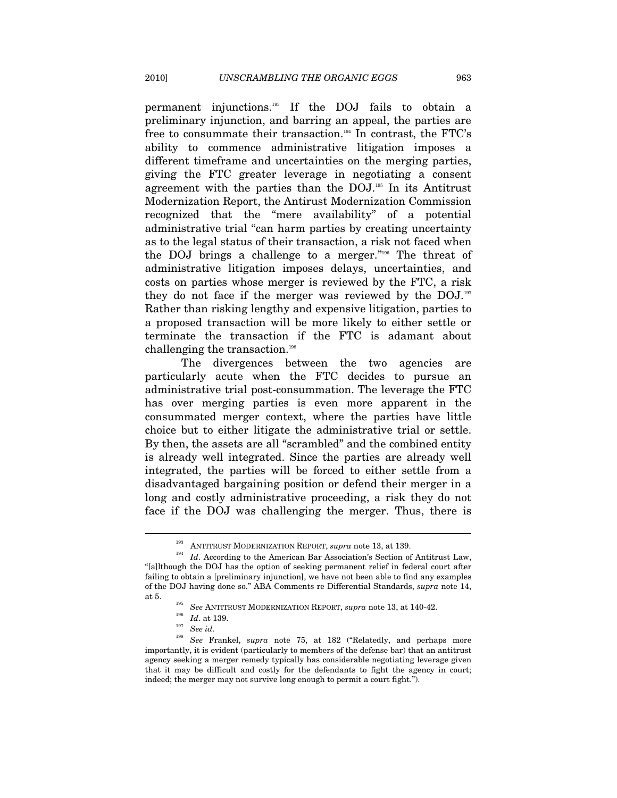permanent injunctions.193 If the DOJ fails to obtain a preliminary injunction, and barring an appeal, the parties are free to consummate their transaction.<sup>194</sup> In contrast, the FTC's ability to commence administrative litigation imposes a different timeframe and uncertainties on the merging parties, giving the FTC greater leverage in negotiating a consent agreement with the parties than the DOJ.195 In its Antitrust Modernization Report, the Antirust Modernization Commission recognized that the "mere availability" of a potential administrative trial "can harm parties by creating uncertainty as to the legal status of their transaction, a risk not faced when the DOJ brings a challenge to a merger."196 The threat of administrative litigation imposes delays, uncertainties, and costs on parties whose merger is reviewed by the FTC, a risk they do not face if the merger was reviewed by the  $DOL$ <sup>197</sup> Rather than risking lengthy and expensive litigation, parties to a proposed transaction will be more likely to either settle or terminate the transaction if the FTC is adamant about challenging the transaction.<sup>198</sup>

The divergences between the two agencies are particularly acute when the FTC decides to pursue an administrative trial post-consummation. The leverage the FTC has over merging parties is even more apparent in the consummated merger context, where the parties have little choice but to either litigate the administrative trial or settle. By then, the assets are all "scrambled" and the combined entity is already well integrated. Since the parties are already well integrated, the parties will be forced to either settle from a disadvantaged bargaining position or defend their merger in a long and costly administrative proceeding, a risk they do not face if the DOJ was challenging the merger. Thus, there is

<sup>&</sup>lt;sup>193</sup> ANTITRUST MODERNIZATION REPORT, *supra* note 13, at 139.<br><sup>194</sup> *Id.* According to the American Bar Association's Section of Antitrust Law, "[a]lthough the DOJ has the option of seeking permanent relief in federal court after failing to obtain a [preliminary injunction], we have not been able to find any examples of the DOJ having done so." ABA Comments re Differential Standards, *supra* note 14, at 5.

<sup>&</sup>lt;sup>195</sup> See ANTITRUST MODERNIZATION REPORT, *supra* note 13, at 140-42.<br><sup>196</sup> Id. at 139.<br><sup>197</sup> See id. 198 *See* Frankel, *supra* note 75, at 182 ("Relatedly, and perhaps more importantly, it is evident (particularly to members of the defense bar) that an antitrust agency seeking a merger remedy typically has considerable negotiating leverage given that it may be difficult and costly for the defendants to fight the agency in court; indeed; the merger may not survive long enough to permit a court fight.").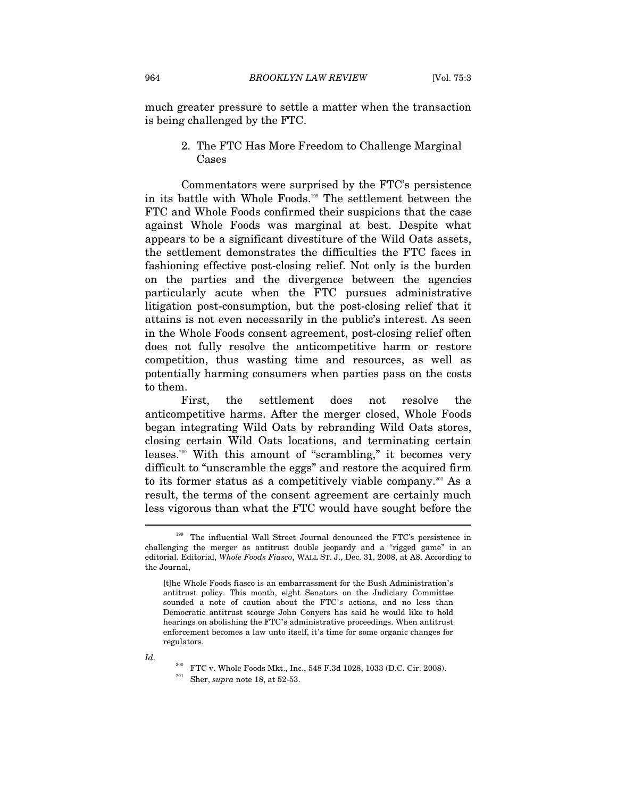much greater pressure to settle a matter when the transaction is being challenged by the FTC.

# 2. The FTC Has More Freedom to Challenge Marginal Cases

Commentators were surprised by the FTC's persistence in its battle with Whole Foods.199 The settlement between the FTC and Whole Foods confirmed their suspicions that the case against Whole Foods was marginal at best. Despite what appears to be a significant divestiture of the Wild Oats assets, the settlement demonstrates the difficulties the FTC faces in fashioning effective post-closing relief. Not only is the burden on the parties and the divergence between the agencies particularly acute when the FTC pursues administrative litigation post-consumption, but the post-closing relief that it attains is not even necessarily in the public's interest. As seen in the Whole Foods consent agreement, post-closing relief often does not fully resolve the anticompetitive harm or restore competition, thus wasting time and resources, as well as potentially harming consumers when parties pass on the costs to them.

First, the settlement does not resolve the anticompetitive harms. After the merger closed, Whole Foods began integrating Wild Oats by rebranding Wild Oats stores, closing certain Wild Oats locations, and terminating certain leases.200 With this amount of "scrambling," it becomes very difficult to "unscramble the eggs" and restore the acquired firm to its former status as a competitively viable company.<sup>201</sup> As a result, the terms of the consent agreement are certainly much less vigorous than what the FTC would have sought before the

<sup>&</sup>lt;sup>199</sup> The influential Wall Street Journal denounced the FTC's persistence in challenging the merger as antitrust double jeopardy and a "rigged game" in an editorial. Editorial, *Whole Foods Fiasco*, WALL ST. J., Dec. 31, 2008, at A8. According to the Journal,

<sup>[</sup>t]he Whole Foods fiasco is an embarrassment for the Bush Administration's antitrust policy. This month, eight Senators on the Judiciary Committee sounded a note of caution about the FTC's actions, and no less than Democratic antitrust scourge John Conyers has said he would like to hold hearings on abolishing the FTC's administrative proceedings. When antitrust enforcement becomes a law unto itself, it's time for some organic changes for regulators.

*Id.* <sup>200</sup> FTC v. Whole Foods Mkt., Inc., 548 F.3d 1028, 1033 (D.C. Cir. 2008). <br><sup>201</sup> Sher, *supra* note 18, at 52-53.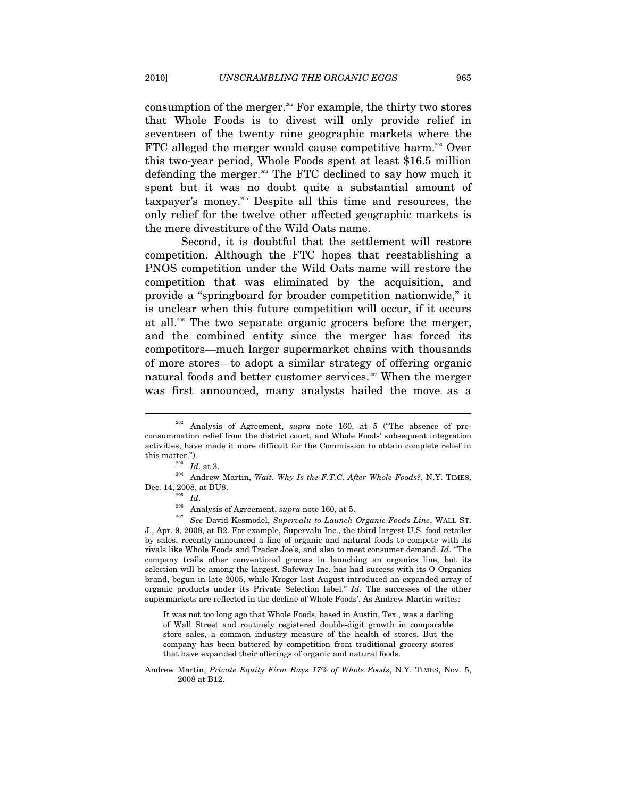consumption of the merger.<sup>202</sup> For example, the thirty two stores that Whole Foods is to divest will only provide relief in seventeen of the twenty nine geographic markets where the FTC alleged the merger would cause competitive harm.<sup>203</sup> Over this two-year period, Whole Foods spent at least \$16.5 million defending the merger.204 The FTC declined to say how much it spent but it was no doubt quite a substantial amount of taxpayer's money.205 Despite all this time and resources, the only relief for the twelve other affected geographic markets is the mere divestiture of the Wild Oats name.

Second, it is doubtful that the settlement will restore competition. Although the FTC hopes that reestablishing a PNOS competition under the Wild Oats name will restore the competition that was eliminated by the acquisition, and provide a "springboard for broader competition nationwide," it is unclear when this future competition will occur, if it occurs at all.206 The two separate organic grocers before the merger, and the combined entity since the merger has forced its competitors—much larger supermarket chains with thousands of more stores—to adopt a similar strategy of offering organic natural foods and better customer services.<sup>207</sup> When the merger was first announced, many analysts hailed the move as a

 $\overline{a}$ 

J., Apr. 9, 2008, at B2. For example, Supervalu Inc., the third largest U.S. food retailer by sales, recently announced a line of organic and natural foods to compete with its rivals like Whole Foods and Trader Joe's, and also to meet consumer demand. *Id*. "The company trails other conventional grocers in launching an organics line, but its selection will be among the largest. Safeway Inc. has had success with its O Organics brand, begun in late 2005, while Kroger last August introduced an expanded array of organic products under its Private Selection label." *Id*. The successes of the other supermarkets are reflected in the decline of Whole Foods'. As Andrew Martin writes:

It was not too long ago that Whole Foods, based in Austin, Tex., was a darling of Wall Street and routinely registered double-digit growth in comparable store sales, a common industry measure of the health of stores. But the company has been battered by competition from traditional grocery stores that have expanded their offerings of organic and natural foods.

Andrew Martin, *Private Equity Firm Buys 17% of Whole Foods*, N.Y. TIMES, Nov. 5, 2008 at B12.

<sup>202</sup> Analysis of Agreement, *supra* note 160, at 5 ("The absence of preconsummation relief from the district court, and Whole Foods' subsequent integration activities, have made it more difficult for the Commission to obtain complete relief in

this matter.").<br><sup>203</sup> *Id.* at 3.<br><sup>204</sup> Andrew Martin, *Wait. Why Is the F.T.C. After Whole Foods*?, N.Y. TIMES, Dec. 14, 2008, at BU8. 205 *Id*. 206 Analysis of Agreement, *supra* note 160, at 5. 207 *See* David Kesmodel, *Supervalu to Launch Organic-Foods Line*, WALL ST.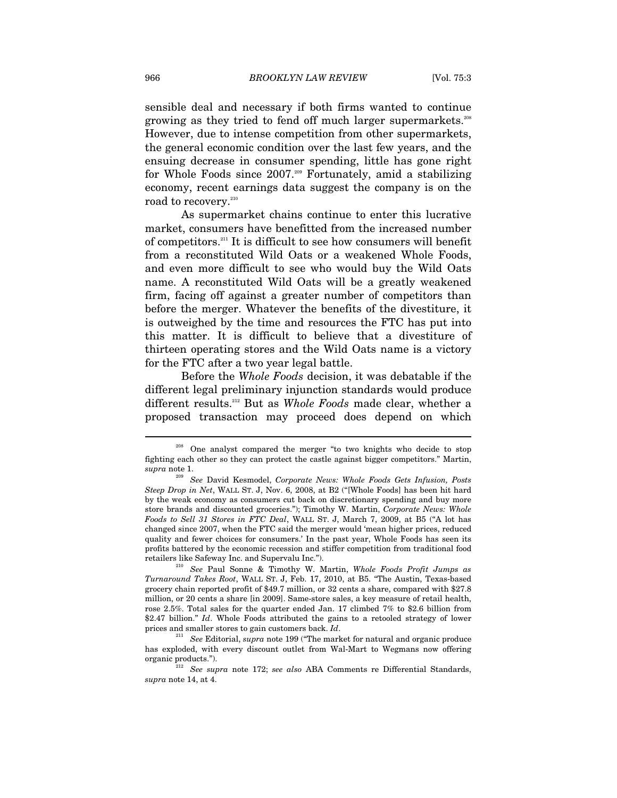sensible deal and necessary if both firms wanted to continue growing as they tried to fend off much larger supermarkets.208 However, due to intense competition from other supermarkets, the general economic condition over the last few years, and the ensuing decrease in consumer spending, little has gone right for Whole Foods since  $2007$ .<sup>209</sup> Fortunately, amid a stabilizing economy, recent earnings data suggest the company is on the road to recovery.<sup>210</sup>

As supermarket chains continue to enter this lucrative market, consumers have benefitted from the increased number of competitors.211 It is difficult to see how consumers will benefit from a reconstituted Wild Oats or a weakened Whole Foods, and even more difficult to see who would buy the Wild Oats name. A reconstituted Wild Oats will be a greatly weakened firm, facing off against a greater number of competitors than before the merger. Whatever the benefits of the divestiture, it is outweighed by the time and resources the FTC has put into this matter. It is difficult to believe that a divestiture of thirteen operating stores and the Wild Oats name is a victory for the FTC after a two year legal battle.

Before the *Whole Foods* decision, it was debatable if the different legal preliminary injunction standards would produce different results.212 But as *Whole Foods* made clear, whether a proposed transaction may proceed does depend on which

<sup>208</sup> One analyst compared the merger "to two knights who decide to stop fighting each other so they can protect the castle against bigger competitors." Martin, *supra* note 1. 209 *See* David Kesmodel, *Corporate News: Whole Foods Gets Infusion, Posts* 

*Steep Drop in Net*, WALL ST. J, Nov. 6, 2008, at B2 ("[Whole Foods] has been hit hard by the weak economy as consumers cut back on discretionary spending and buy more store brands and discounted groceries."); Timothy W. Martin, *Corporate News: Whole Foods to Sell 31 Stores in FTC Deal*, WALL ST. J, March 7, 2009, at B5 ("A lot has changed since 2007, when the FTC said the merger would 'mean higher prices, reduced quality and fewer choices for consumers.' In the past year, Whole Foods has seen its profits battered by the economic recession and stiffer competition from traditional food

retailers like Safeway Inc. and Supervalu Inc."). 210 *See* Paul Sonne & Timothy W. Martin, *Whole Foods Profit Jumps as Turnaround Takes Root*, WALL ST. J, Feb. 17, 2010, at B5. "The Austin, Texas-based grocery chain reported profit of \$49.7 million, or 32 cents a share, compared with \$27.8 million, or 20 cents a share [in 2009]. Same-store sales, a key measure of retail health, rose 2.5%. Total sales for the quarter ended Jan. 17 climbed 7% to \$2.6 billion from \$2.47 billion." *Id*. Whole Foods attributed the gains to a retooled strategy of lower prices and smaller stores to gain customers back. *Id*. 211 *See* Editorial, *supra* note 199 ("The market for natural and organic produce

has exploded, with every discount outlet from Wal-Mart to Wegmans now offering

organic products."). 212 *See supra* note 172; *see also* ABA Comments re Differential Standards, *supra* note 14, at 4.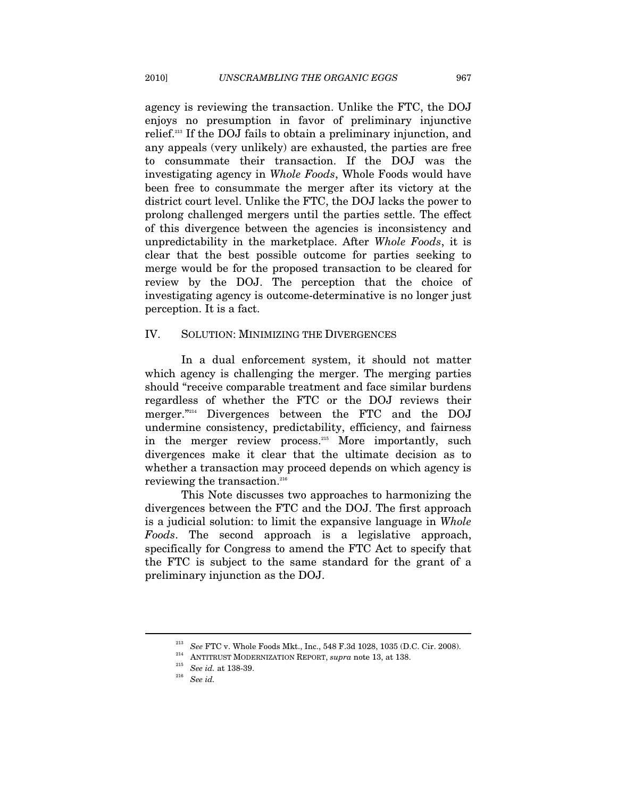agency is reviewing the transaction. Unlike the FTC, the DOJ enjoys no presumption in favor of preliminary injunctive relief.213 If the DOJ fails to obtain a preliminary injunction, and any appeals (very unlikely) are exhausted, the parties are free to consummate their transaction. If the DOJ was the investigating agency in *Whole Foods*, Whole Foods would have been free to consummate the merger after its victory at the district court level. Unlike the FTC, the DOJ lacks the power to prolong challenged mergers until the parties settle. The effect of this divergence between the agencies is inconsistency and unpredictability in the marketplace. After *Whole Foods*, it is clear that the best possible outcome for parties seeking to merge would be for the proposed transaction to be cleared for review by the DOJ. The perception that the choice of investigating agency is outcome-determinative is no longer just perception. It is a fact.

### IV. SOLUTION: MINIMIZING THE DIVERGENCES

In a dual enforcement system, it should not matter which agency is challenging the merger. The merging parties should "receive comparable treatment and face similar burdens regardless of whether the FTC or the DOJ reviews their merger."<sup>214</sup> Divergences between the FTC and the DOJ undermine consistency, predictability, efficiency, and fairness in the merger review process.<sup>215</sup> More importantly, such divergences make it clear that the ultimate decision as to whether a transaction may proceed depends on which agency is reviewing the transaction.<sup>216</sup>

This Note discusses two approaches to harmonizing the divergences between the FTC and the DOJ. The first approach is a judicial solution: to limit the expansive language in *Whole Foods*. The second approach is a legislative approach, specifically for Congress to amend the FTC Act to specify that the FTC is subject to the same standard for the grant of a preliminary injunction as the DOJ.

<sup>&</sup>lt;sup>213</sup> See FTC v. Whole Foods Mkt., Inc., 548 F.3d 1028, 1035 (D.C. Cir. 2008).<br><sup>214</sup> ANTITRUST MODERNIZATION REPORT, *supra* note 13, at 138.<br><sup>215</sup> *See id. See id. See id.*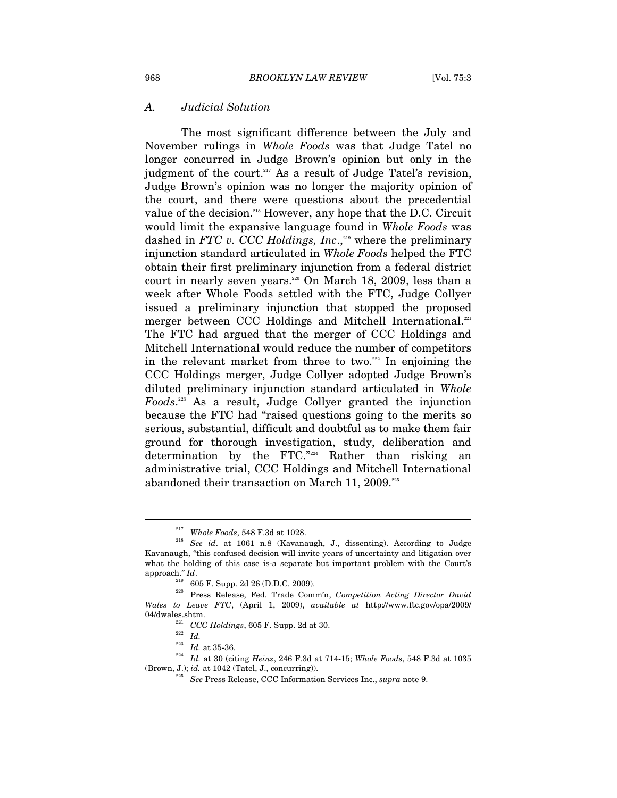#### *A. Judicial Solution*

The most significant difference between the July and November rulings in *Whole Foods* was that Judge Tatel no longer concurred in Judge Brown's opinion but only in the judgment of the court.<sup>217</sup> As a result of Judge Tatel's revision, Judge Brown's opinion was no longer the majority opinion of the court, and there were questions about the precedential value of the decision.<sup>218</sup> However, any hope that the D.C. Circuit would limit the expansive language found in *Whole Foods* was dashed in *FTC v. CCC Holdings, Inc.*<sup>219</sup> where the preliminary injunction standard articulated in *Whole Foods* helped the FTC obtain their first preliminary injunction from a federal district court in nearly seven years.<sup>220</sup> On March 18, 2009, less than a week after Whole Foods settled with the FTC, Judge Collyer issued a preliminary injunction that stopped the proposed merger between CCC Holdings and Mitchell International.<sup>221</sup> The FTC had argued that the merger of CCC Holdings and Mitchell International would reduce the number of competitors in the relevant market from three to two. $222$  In enjoining the CCC Holdings merger, Judge Collyer adopted Judge Brown's diluted preliminary injunction standard articulated in *Whole Foods*. 223 As a result, Judge Collyer granted the injunction because the FTC had "raised questions going to the merits so serious, substantial, difficult and doubtful as to make them fair ground for thorough investigation, study, deliberation and determination by the FTC."224 Rather than risking an administrative trial, CCC Holdings and Mitchell International abandoned their transaction on March 11, 2009.<sup>225</sup>

<sup>217</sup> *Whole Foods*, 548 F.3d at 1028. 218 *See id*. at 1061 n.8 (Kavanaugh, J., dissenting). According to Judge Kavanaugh, "this confused decision will invite years of uncertainty and litigation over what the holding of this case is-a separate but important problem with the Court's approach."  $Id$ .

approach." *Id*. 219 605 F. Supp. 2d 26 (D.D.C. 2009). 220 Press Release, Fed. Trade Comm'n, *Competition Acting Director David Wales to Leave FTC*, (April 1, 2009), *available at* http://www.ftc.gov/opa/2009/

<sup>04/</sup>dwales.shtm.<br><sup>221</sup> *CCC Holdings*, 605 F. Supp. 2d at 30.<br><sup>222</sup> *Id.* at 35-36.<br><sup>224</sup> *Id.* at 30 (citing *Heinz*, 246 F.3d at 714-15; *Whole Foods*, 548 F.3d at 1035<br>(Brown, J.); *id.* at 1042 (Tatel, J., concurring)).

<sup>&</sup>lt;sup>225</sup> See Press Release, CCC Information Services Inc., *supra* note 9.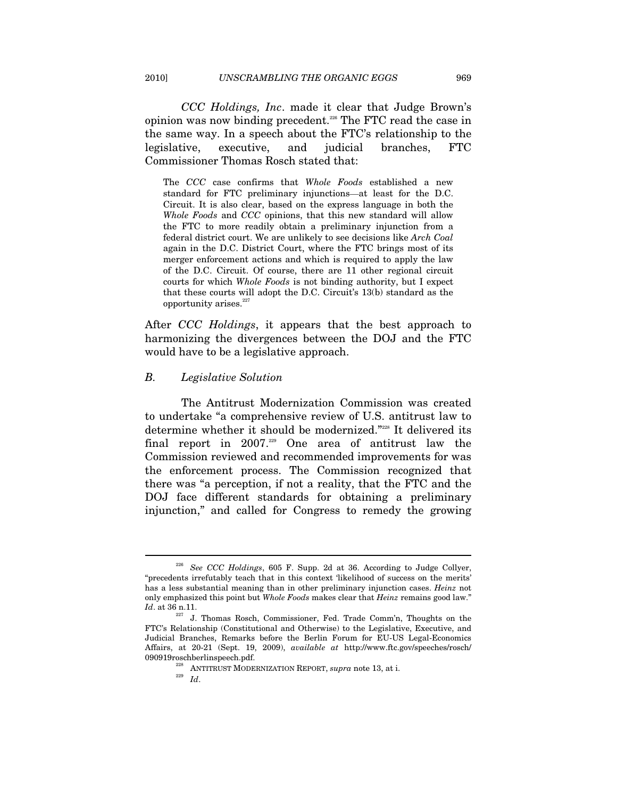*CCC Holdings, Inc*. made it clear that Judge Brown's opinion was now binding precedent.226 The FTC read the case in the same way. In a speech about the FTC's relationship to the legislative, executive, and judicial branches, FTC Commissioner Thomas Rosch stated that:

The *CCC* case confirms that *Whole Foods* established a new standard for FTC preliminary injunctions—at least for the D.C. Circuit. It is also clear, based on the express language in both the *Whole Foods* and *CCC* opinions, that this new standard will allow the FTC to more readily obtain a preliminary injunction from a federal district court. We are unlikely to see decisions like *Arch Coal*  again in the D.C. District Court, where the FTC brings most of its merger enforcement actions and which is required to apply the law of the D.C. Circuit. Of course, there are 11 other regional circuit courts for which *Whole Foods* is not binding authority, but I expect that these courts will adopt the D.C. Circuit's 13(b) standard as the opportunity arises. $227$ 

After *CCC Holdings*, it appears that the best approach to harmonizing the divergences between the DOJ and the FTC would have to be a legislative approach.

#### *B. Legislative Solution*

The Antitrust Modernization Commission was created to undertake "a comprehensive review of U.S. antitrust law to determine whether it should be modernized."228 It delivered its final report in 2007.229 One area of antitrust law the Commission reviewed and recommended improvements for was the enforcement process. The Commission recognized that there was "a perception, if not a reality, that the FTC and the DOJ face different standards for obtaining a preliminary injunction," and called for Congress to remedy the growing

<sup>226</sup> *See CCC Holdings*, 605 F. Supp. 2d at 36. According to Judge Collyer, "precedents irrefutably teach that in this context 'likelihood of success on the merits' has a less substantial meaning than in other preliminary injunction cases. *Heinz* not only emphasized this point but *Whole Foods* makes clear that *Heinz* remains good law." *Id*. at 36 n.11. 227 J. Thomas Rosch, Commissioner, Fed. Trade Comm'n, Thoughts on the

FTC's Relationship (Constitutional and Otherwise) to the Legislative, Executive, and Judicial Branches, Remarks before the Berlin Forum for EU-US Legal-Economics Affairs, at 20-21 (Sept. 19, 2009), *available at* http://www.ftc.gov/speeches/rosch/

<sup>&</sup>lt;sup>228</sup> ANTITRUST MODERNIZATION REPORT, *supra* note 13, at i.  $I_d$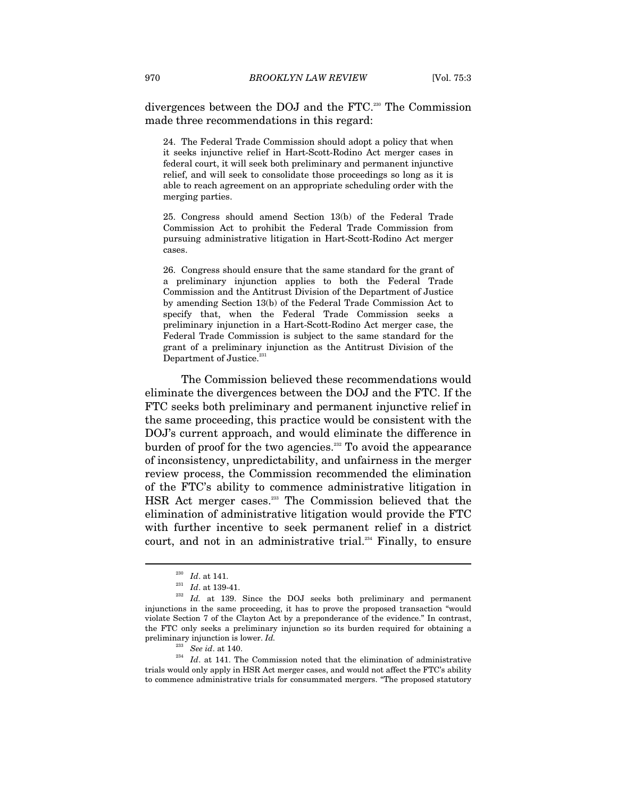divergences between the DOJ and the FTC.230 The Commission made three recommendations in this regard:

24. The Federal Trade Commission should adopt a policy that when it seeks injunctive relief in Hart-Scott-Rodino Act merger cases in federal court, it will seek both preliminary and permanent injunctive relief, and will seek to consolidate those proceedings so long as it is able to reach agreement on an appropriate scheduling order with the merging parties.

25. Congress should amend Section 13(b) of the Federal Trade Commission Act to prohibit the Federal Trade Commission from pursuing administrative litigation in Hart-Scott-Rodino Act merger cases.

26. Congress should ensure that the same standard for the grant of a preliminary injunction applies to both the Federal Trade Commission and the Antitrust Division of the Department of Justice by amending Section 13(b) of the Federal Trade Commission Act to specify that, when the Federal Trade Commission seeks a preliminary injunction in a Hart-Scott-Rodino Act merger case, the Federal Trade Commission is subject to the same standard for the grant of a preliminary injunction as the Antitrust Division of the Department of Justice.<sup>23</sup>

The Commission believed these recommendations would eliminate the divergences between the DOJ and the FTC. If the FTC seeks both preliminary and permanent injunctive relief in the same proceeding, this practice would be consistent with the DOJ's current approach, and would eliminate the difference in burden of proof for the two agencies. $232$  To avoid the appearance of inconsistency, unpredictability, and unfairness in the merger review process, the Commission recommended the elimination of the FTC's ability to commence administrative litigation in HSR Act merger cases.<sup>233</sup> The Commission believed that the elimination of administrative litigation would provide the FTC with further incentive to seek permanent relief in a district court, and not in an administrative trial.<sup>234</sup> Finally, to ensure

<sup>&</sup>lt;sup>230</sup> *Id.* at 141.<br><sup>231</sup> *Id.* at 139-41.<br><sup>232</sup> *Id.* at 139. Since the DOJ seeks both preliminary and permanent injunctions in the same proceeding, it has to prove the proposed transaction "would violate Section 7 of the Clayton Act by a preponderance of the evidence." In contrast, the FTC only seeks a preliminary injunction so its burden required for obtaining a preliminary injunction is lower. *Id.*<br><sup>233</sup> See id. at 140.

<sup>&</sup>lt;sup>234</sup> Id. at 141. The Commission noted that the elimination of administrative trials would only apply in HSR Act merger cases, and would not affect the FTC's ability to commence administrative trials for consummated mergers. "The proposed statutory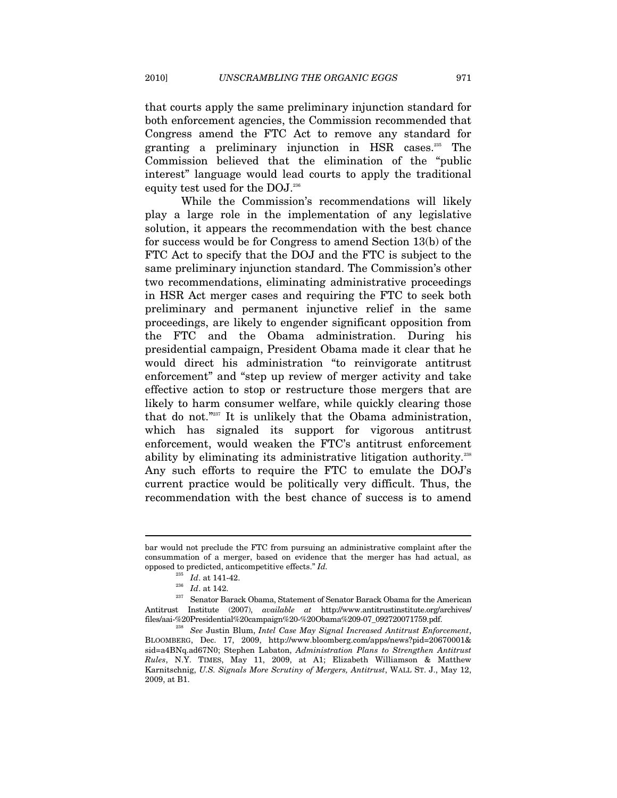that courts apply the same preliminary injunction standard for both enforcement agencies, the Commission recommended that Congress amend the FTC Act to remove any standard for granting a preliminary injunction in HSR cases.235 The Commission believed that the elimination of the "public interest" language would lead courts to apply the traditional equity test used for the DOJ.<sup>236</sup>

While the Commission's recommendations will likely play a large role in the implementation of any legislative solution, it appears the recommendation with the best chance for success would be for Congress to amend Section 13(b) of the FTC Act to specify that the DOJ and the FTC is subject to the same preliminary injunction standard. The Commission's other two recommendations, eliminating administrative proceedings in HSR Act merger cases and requiring the FTC to seek both preliminary and permanent injunctive relief in the same proceedings, are likely to engender significant opposition from the FTC and the Obama administration. During his presidential campaign, President Obama made it clear that he would direct his administration "to reinvigorate antitrust enforcement" and "step up review of merger activity and take effective action to stop or restructure those mergers that are likely to harm consumer welfare, while quickly clearing those that do not."237 It is unlikely that the Obama administration, which has signaled its support for vigorous antitrust enforcement, would weaken the FTC's antitrust enforcement ability by eliminating its administrative litigation authority.<sup>238</sup> Any such efforts to require the FTC to emulate the DOJ's current practice would be politically very difficult. Thus, the recommendation with the best chance of success is to amend

bar would not preclude the FTC from pursuing an administrative complaint after the consummation of a merger, based on evidence that the merger has had actual, as

<sup>%</sup> opposed to predicted, anticompetitive effects." *Id.*  $Id$ .<br>  $Id.$  at 141-42.<br>  $Id.$  at 142. Senator Barack Obama, Statement of Senator Barack Obama for the American Antitrust Institute (2007), *available at* http://www.antitrustinstitute.org/archives/ files/aai-%20Presidential%20campaign%20-%20Obama%209-07\_092720071759.pdf. 238 *See* Justin Blum, *Intel Case May Signal Increased Antitrust Enforcement*,

BLOOMBERG, Dec. 17, 2009, http://www.bloomberg.com/apps/news?pid=20670001& sid=a4BNq.ad67N0; Stephen Labaton, *Administration Plans to Strengthen Antitrust Rules*, N.Y. TIMES, May 11, 2009, at A1; Elizabeth Williamson & Matthew Karnitschnig, *U.S. Signals More Scrutiny of Mergers, Antitrust*, WALL ST. J., May 12, 2009, at B1.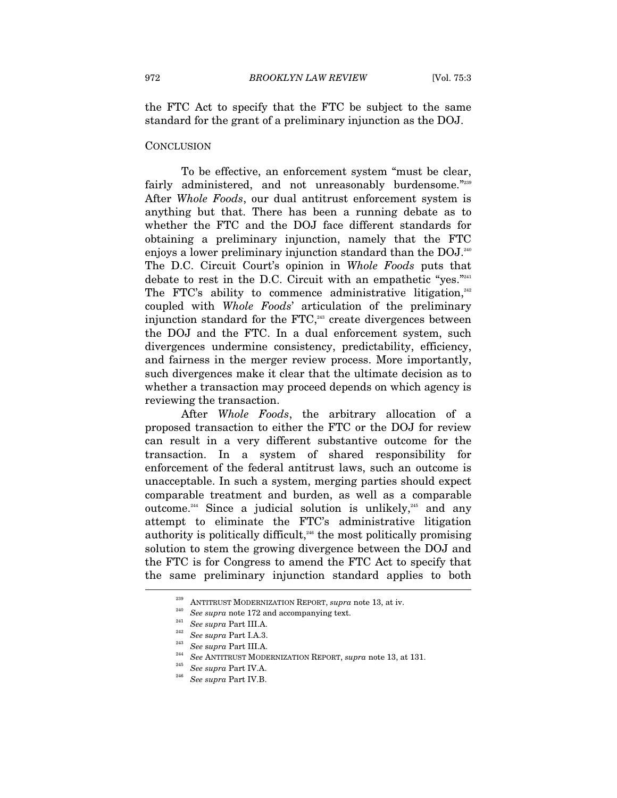the FTC Act to specify that the FTC be subject to the same standard for the grant of a preliminary injunction as the DOJ.

#### **CONCLUSION**

To be effective, an enforcement system "must be clear, fairly administered, and not unreasonably burdensome."239 After *Whole Foods*, our dual antitrust enforcement system is anything but that. There has been a running debate as to whether the FTC and the DOJ face different standards for obtaining a preliminary injunction, namely that the FTC enjoys a lower preliminary injunction standard than the DOJ.<sup>240</sup> The D.C. Circuit Court's opinion in *Whole Foods* puts that debate to rest in the D.C. Circuit with an empathetic "yes."<sup>241</sup> The FTC's ability to commence administrative litigation, $242$ coupled with *Whole Foods*' articulation of the preliminary injunction standard for the FTC, $243$  create divergences between the DOJ and the FTC. In a dual enforcement system, such divergences undermine consistency, predictability, efficiency, and fairness in the merger review process. More importantly, such divergences make it clear that the ultimate decision as to whether a transaction may proceed depends on which agency is reviewing the transaction.

After *Whole Foods*, the arbitrary allocation of a proposed transaction to either the FTC or the DOJ for review can result in a very different substantive outcome for the transaction. In a system of shared responsibility for enforcement of the federal antitrust laws, such an outcome is unacceptable. In such a system, merging parties should expect comparable treatment and burden, as well as a comparable outcome.<sup>244</sup> Since a judicial solution is unlikely,<sup>245</sup> and any attempt to eliminate the FTC's administrative litigation authority is politically difficult, $246$  the most politically promising solution to stem the growing divergence between the DOJ and the FTC is for Congress to amend the FTC Act to specify that the same preliminary injunction standard applies to both l

<sup>&</sup>lt;sup>239</sup> ANTITRUST MODERNIZATION REPORT, *supra* note 13, at iv.<br><sup>240</sup> See supra note 172 and accompanying text.<br><sup>241</sup> See supra Part III.A.<br><sup>242</sup> See supra Part II.A.3.<br><sup>243</sup> See supra Part III.A.<br><sup>243</sup> See ANTITRUST MODERN